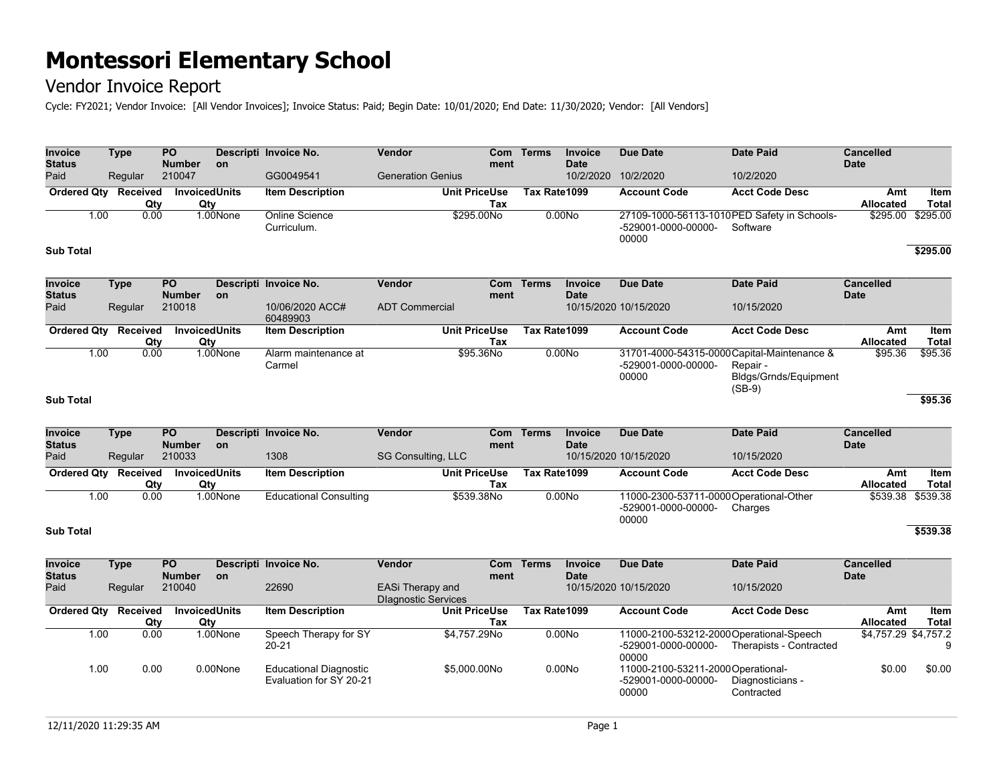## Vendor Invoice Report

Cycle: FY2021; Vendor Invoice: [All Vendor Invoices]; Invoice Status: Paid; Begin Date: 10/01/2020; End Date: 11/30/2020; Vendor: [All Vendors]

| <b>Invoice</b><br><b>Status</b> | <b>Type</b> |                 | <b>PO</b><br><b>Number</b> | <b>on</b>                   | Descripti Invoice No.                                    | Vendor                                         | ment                        | Com Terms    | <b>Invoice</b><br><b>Date</b> | <b>Due Date</b>                                                          | <b>Date Paid</b>                                                                             | Cancelled<br><b>Date</b>        |                             |
|---------------------------------|-------------|-----------------|----------------------------|-----------------------------|----------------------------------------------------------|------------------------------------------------|-----------------------------|--------------|-------------------------------|--------------------------------------------------------------------------|----------------------------------------------------------------------------------------------|---------------------------------|-----------------------------|
| Paid                            |             | Regular         | 210047                     |                             | GG0049541                                                | <b>Generation Genius</b>                       |                             |              | 10/2/2020                     | 10/2/2020                                                                | 10/2/2020                                                                                    |                                 |                             |
| <b>Ordered Qty</b>              |             | Received<br>Qty |                            | <b>InvoicedUnits</b><br>Qty | <b>Item Description</b>                                  |                                                | <b>Unit PriceUse</b><br>Tax | Tax Rate1099 |                               | <b>Account Code</b>                                                      | <b>Acct Code Desc</b>                                                                        | Amt<br><b>Allocated</b>         | <b>Item</b><br><b>Total</b> |
|                                 | 1.00        | 0.00            |                            | 1.00None                    | Online Science<br>Curriculum.                            |                                                | \$295.00No                  |              | 0.00N <sub>o</sub>            | -529001-0000-00000-<br>00000                                             | 27109-1000-56113-1010PED Safety in Schools-<br>Software                                      | \$295.00                        | \$295.00                    |
| <b>Sub Total</b>                |             |                 |                            |                             |                                                          |                                                |                             |              |                               |                                                                          |                                                                                              |                                 | \$295.00                    |
| <b>Invoice</b><br><b>Status</b> | <b>Type</b> |                 | <b>PO</b><br><b>Number</b> | on                          | Descripti Invoice No.                                    | Vendor                                         | <b>Com</b><br>ment          | <b>Terms</b> | <b>Invoice</b><br><b>Date</b> | <b>Due Date</b>                                                          | <b>Date Paid</b>                                                                             | <b>Cancelled</b><br><b>Date</b> |                             |
| Paid                            |             | Regular         | 210018                     |                             | 10/06/2020 ACC#<br>60489903                              | <b>ADT Commercial</b>                          |                             |              |                               | 10/15/2020 10/15/2020                                                    | 10/15/2020                                                                                   |                                 |                             |
| <b>Ordered Qty</b>              |             | Received<br>Qty |                            | <b>InvoicedUnits</b><br>Qty | <b>Item Description</b>                                  |                                                | <b>Unit PriceUse</b><br>Tax | Tax Rate1099 |                               | <b>Account Code</b>                                                      | Acct Code Desc                                                                               | Amt<br>Allocated                | Item<br><b>Total</b>        |
|                                 | 1.00        | 0.00            |                            | 1.00None                    | Alarm maintenance at<br>Carmel                           |                                                | \$95.36No                   |              | 0.00N <sub>o</sub>            | -529001-0000-00000-<br>00000                                             | 31701-4000-54315-0000 Capital-Maintenance &<br>Repair -<br>Bldgs/Grnds/Equipment<br>$(SB-9)$ | \$95.36                         | \$95.36                     |
| <b>Sub Total</b>                |             |                 |                            |                             |                                                          |                                                |                             |              |                               |                                                                          |                                                                                              |                                 | \$95.36                     |
| <b>Invoice</b>                  | <b>Type</b> |                 | PO.                        |                             | Descripti Invoice No.                                    | Vendor                                         |                             | Com Terms    | <b>Invoice</b>                | <b>Due Date</b>                                                          | <b>Date Paid</b>                                                                             | <b>Cancelled</b>                |                             |
| <b>Status</b><br>Paid           |             | Regular         | <b>Number</b><br>210033    | <b>on</b>                   | 1308                                                     | SG Consulting, LLC                             | ment                        |              | <b>Date</b>                   | 10/15/2020 10/15/2020                                                    | 10/15/2020                                                                                   | <b>Date</b>                     |                             |
| <b>Ordered Qty</b>              |             | Received<br>Qty | Qty                        | <b>InvoicedUnits</b>        | <b>Item Description</b>                                  |                                                | <b>Unit PriceUse</b><br>Tax | Tax Rate1099 |                               | <b>Account Code</b>                                                      | <b>Acct Code Desc</b>                                                                        | Amt<br>Allocated                | <b>Item</b><br><b>Total</b> |
|                                 | 1.00        | 0.00            |                            | 1.00None                    | <b>Educational Consulting</b>                            |                                                | \$539.38No                  |              | 0.00N <sub>o</sub>            | 11000-2300-53711-0000Operational-Other<br>-529001-0000-00000-<br>00000   | Charges                                                                                      | \$539.38                        | \$539.38                    |
| <b>Sub Total</b>                |             |                 |                            |                             |                                                          |                                                |                             |              |                               |                                                                          |                                                                                              |                                 | \$539.38                    |
| <b>Invoice</b><br><b>Status</b> | <b>Type</b> |                 | PO.<br><b>Number</b>       | on                          | Descripti Invoice No.                                    | Vendor                                         | <b>Com</b><br>ment          | <b>Terms</b> | <b>Invoice</b><br><b>Date</b> | <b>Due Date</b>                                                          | <b>Date Paid</b>                                                                             | <b>Cancelled</b><br><b>Date</b> |                             |
| Paid                            |             | Regular         | 210040                     |                             | 22690                                                    | EASi Therapy and<br><b>Dlagnostic Services</b> |                             |              |                               | 10/15/2020 10/15/2020                                                    | 10/15/2020                                                                                   |                                 |                             |
| <b>Ordered Qty</b>              |             | Received<br>Qty | Qty                        | <b>InvoicedUnits</b>        | <b>Item Description</b>                                  |                                                | <b>Unit PriceUse</b><br>Tax | Tax Rate1099 |                               | <b>Account Code</b>                                                      | <b>Acct Code Desc</b>                                                                        | Amt<br>Allocated                | Item<br><b>Total</b>        |
|                                 | 1.00        | 0.00            |                            | 1.00None                    | Speech Therapy for SY<br>$20 - 21$                       |                                                | \$4,757.29No                |              | 0.00N <sub>o</sub>            | 11000-2100-53212-2000 Operational-Speech<br>-529001-0000-00000-<br>00000 | Therapists - Contracted                                                                      | \$4,757.29 \$4,757.2            | 9                           |
|                                 | 1.00        | 0.00            |                            | 0.00None                    | <b>Educational Diagnostic</b><br>Evaluation for SY 20-21 |                                                | \$5,000.00No                |              | 0.00N <sub>O</sub>            | 11000-2100-53211-2000Operational-<br>-529001-0000-00000-<br>00000        | Diagnosticians -<br>Contracted                                                               | \$0.00                          | \$0.00                      |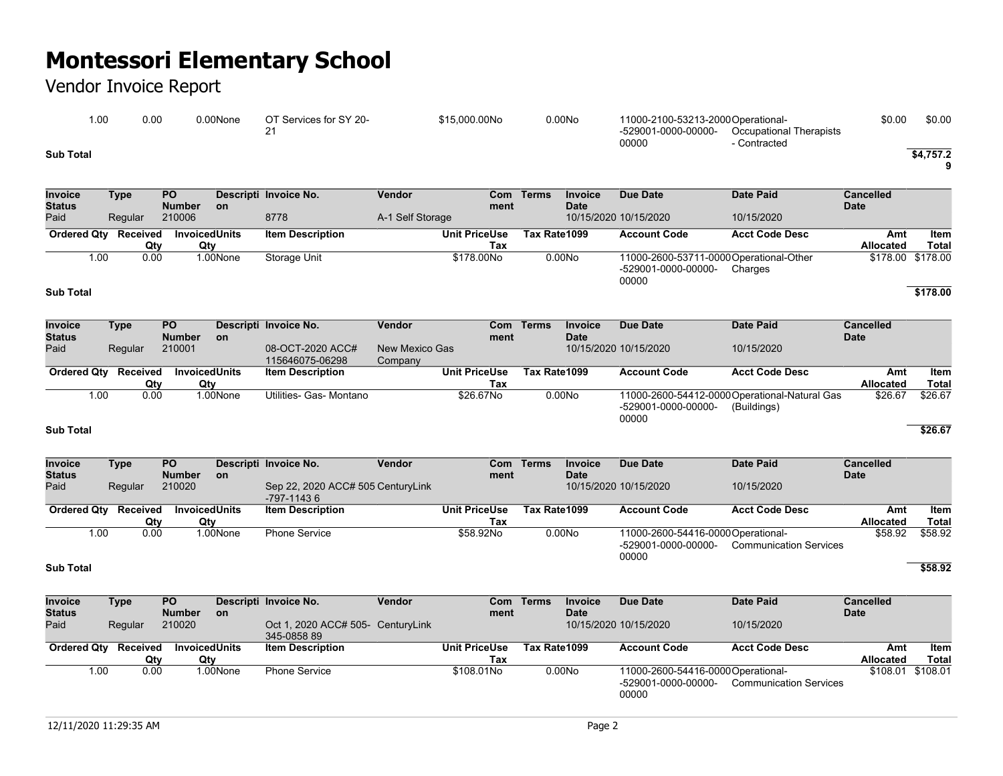## Vendor Invoice Report

| 00. ا     | 0.00 | 0.00None | OT Services for SY 20- | \$15,000.00No | 0.00N <sub>O</sub> | 11000-2100-53213-2000Operational- |                         | \$0.00 | \$0.00    |
|-----------|------|----------|------------------------|---------------|--------------------|-----------------------------------|-------------------------|--------|-----------|
|           |      |          |                        |               |                    | -529001-0000-00000-               | Occupational Therapists |        |           |
|           |      |          |                        |               |                    | 00000                             | Contracted              |        |           |
| Sub Total |      |          |                        |               |                    |                                   |                         |        | \$4.757.2 |

**9**

| <b>Invoice</b><br><b>Status</b> | Type     | <b>PO</b><br><b>Number</b> | <b>on</b> | Descripti Invoice No.   | Vendor           | Com<br>ment          | <b>Terms</b> | <b>Invoice</b><br><b>Date</b> | Due Date                     | Date Paid                                          | <b>Cancelled</b><br><b>Date</b> |              |
|---------------------------------|----------|----------------------------|-----------|-------------------------|------------------|----------------------|--------------|-------------------------------|------------------------------|----------------------------------------------------|---------------------------------|--------------|
| Paid                            | Regular  | 210006                     |           | 8778                    | A-1 Self Storage |                      |              |                               | 10/15/2020 10/15/2020        | 10/15/2020                                         |                                 |              |
| <b>Ordered Qty</b>              | Received | <b>InvoicedUnits</b>       |           | <b>Item Description</b> |                  | <b>Unit PriceUse</b> | Tax Rate1099 |                               | <b>Account Code</b>          | <b>Acct Code Desc</b>                              | Amt                             | Item         |
|                                 | Qty      | Qtv                        |           |                         |                  | Tax                  |              |                               |                              |                                                    | <b>Allocated</b>                | <b>Total</b> |
| 00. ا                           | 0.00     |                            | 1.00None  | Storage Unit            |                  | \$178,00No           |              | 0.00N <sub>O</sub>            | -529001-0000-00000-<br>00000 | 11000-2600-53711-0000 Operational-Other<br>Charges | \$178.00 \$178.00               |              |
| <b>Sub Total</b>                |          |                            |           |                         |                  |                      |              |                               |                              |                                                    |                                 | \$178.00     |

| <b>Invoice</b><br><b>Status</b> | Type     | <b>PO</b><br><b>Number</b> | <b>on</b> | Descripti Invoice No.               | Vendor                    | ment                 | Com Terms    | Invoice<br><b>Date</b> | Due Date                     | Date Paid                                                    | <b>Cancelled</b><br><b>Date</b> |         |
|---------------------------------|----------|----------------------------|-----------|-------------------------------------|---------------------------|----------------------|--------------|------------------------|------------------------------|--------------------------------------------------------------|---------------------------------|---------|
| Paid                            | Regular  | 210001                     |           | 08-OCT-2020 ACC#<br>115646075-06298 | New Mexico Gas<br>Company |                      |              |                        | 10/15/2020 10/15/2020        | 10/15/2020                                                   |                                 |         |
| <b>Ordered Qtv</b>              | Received | <b>InvoicedUnits</b>       |           | <b>Item Description</b>             |                           | <b>Unit PriceUse</b> | Tax Rate1099 |                        | <b>Account Code</b>          | <b>Acct Code Desc</b>                                        | Amt                             | Item    |
|                                 | Qty      | Qty                        |           |                                     |                           | Tax                  |              |                        |                              |                                                              | <b>Allocated</b>                | Total   |
| 1.00                            | 0.00     |                            | 1.00None  | Utilities- Gas- Montano             |                           | \$26,67No            |              | 0.00N <sub>o</sub>     | -529001-0000-00000-<br>00000 | 11000-2600-54412-0000 Operational-Natural Gas<br>(Buildings) | \$26.67                         | \$26.67 |

#### **Sub Total \$26.67**

| Invoice<br><b>Status</b> | Type     | <b>PO</b><br><b>Number</b> | <b>on</b> | Vendor<br>Descripti Invoice No.                 | Com<br>ment          | <b>Terms</b> | <b>Invoice</b><br><b>Date</b> | Due Date                           | Date Paid                     | <b>Cancelled</b><br><b>Date</b> |              |
|--------------------------|----------|----------------------------|-----------|-------------------------------------------------|----------------------|--------------|-------------------------------|------------------------------------|-------------------------------|---------------------------------|--------------|
| Paid                     | Regular  | 210020                     |           | Sep 22, 2020 ACC# 505 CenturyLink<br>-797-11436 |                      |              |                               | 10/15/2020 10/15/2020              | 10/15/2020                    |                                 |              |
| <b>Ordered Qty</b>       | Received | <b>InvoicedUnits</b>       |           | <b>Item Description</b>                         | <b>Unit PriceUse</b> | Tax Rate1099 |                               | <b>Account Code</b>                | <b>Acct Code Desc</b>         | Amt                             | Item         |
|                          | Qty      | Qty                        |           |                                                 | Tax                  |              |                               |                                    |                               | <b>Allocated</b>                | <b>Total</b> |
| 1.00                     | 0.00     |                            | 1.00None  | <b>Phone Service</b>                            | \$58.92No            |              | 0.00N <sub>O</sub>            | 11000-2600-54416-0000 Operational- |                               | \$58.92                         | \$58.92      |
|                          |          |                            |           |                                                 |                      |              |                               | -529001-0000-00000-<br>00000       | <b>Communication Services</b> |                                 |              |

#### **Sub Total \$58.92**

| Invoice<br><b>Status</b> | Type     | <b>PO</b><br><b>Number</b> | <b>on</b> | Descripti Invoice No.                            | Vendor | ment                 | Com Terms    | Invoice<br><b>Date</b> | Due Date                                                          | Date Paid                     | <b>Cancelled</b><br><b>Date</b> |              |
|--------------------------|----------|----------------------------|-----------|--------------------------------------------------|--------|----------------------|--------------|------------------------|-------------------------------------------------------------------|-------------------------------|---------------------------------|--------------|
| Paid                     | Regular  | 210020                     |           | Oct 1, 2020 ACC# 505- CenturyLink<br>345-0858 89 |        |                      |              |                        | 10/15/2020 10/15/2020                                             | 10/15/2020                    |                                 |              |
| <b>Ordered Qty</b>       | Received | <b>InvoicedUnits</b>       |           | <b>Item Description</b>                          |        | <b>Unit PriceUse</b> | Tax Rate1099 |                        | <b>Account Code</b>                                               | <b>Acct Code Desc</b>         | Amt                             | Item         |
|                          | Qtv      | Qty                        |           |                                                  |        | Tax                  |              |                        |                                                                   |                               | <b>Allocated</b>                | <b>Total</b> |
| 1.00                     | 0.00     |                            | 1.00None  | <b>Phone Service</b>                             |        | \$108,01No           |              | 0.00N <sub>o</sub>     | 11000-2600-54416-0000Operational-<br>-529001-0000-00000-<br>00000 | <b>Communication Services</b> | \$108.01                        | \$108.01     |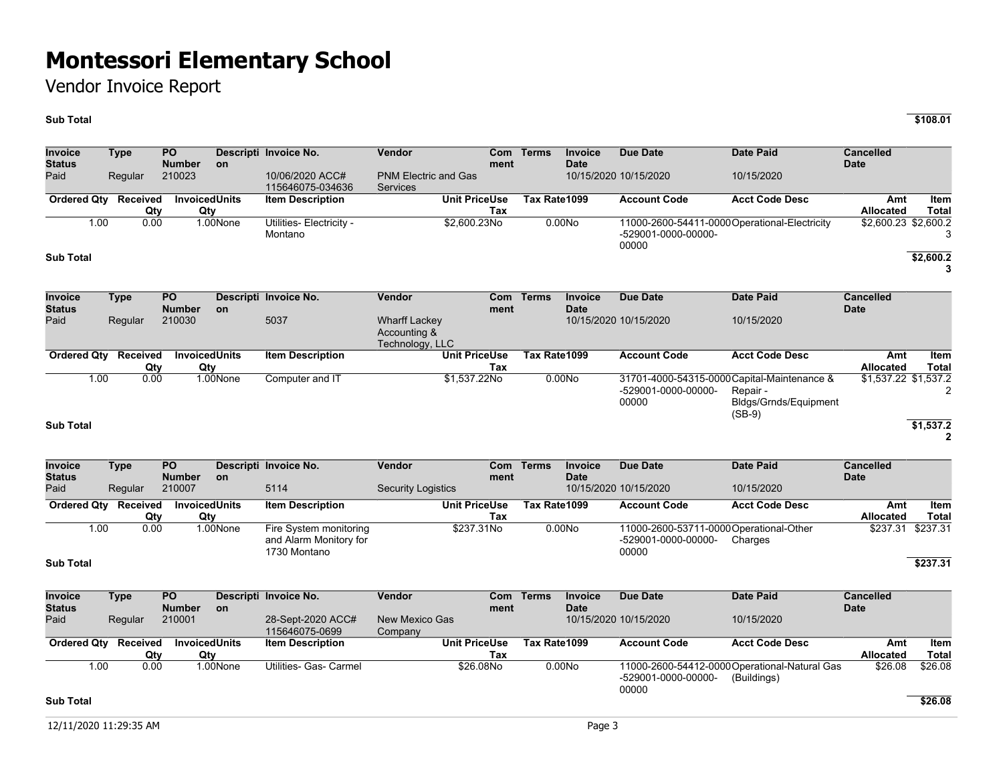### Vendor Invoice Report

### **Sub Total \$108.01**

**Invoice Status Type PO Number Descripti Invoice No. Vendor Com on ment Terms Invoice Date Due Date Date Paid Cancelled Date** Paid Regular 210023 10/06/2020 ACC# 115646075-034636 PNM Electric and Gas **Services** 10/15/2020 10/15/2020 10/15/2020 **Ordered Qty Received Invoiced Qty Qty Item Description Unit PriceUse Tax Tax Rate1099 Account Code Acct Code Desc Amt Allocated Item Total** 1.00 0.00 1.00None Utilities- Electricity - Montano \$2,600.23No 0.00No 11000-2600-54411-0000 Operational-Electricity \$2,600.23 \$2,600.2 -529001-0000-00000- 00000 3 **Sub Total \$2,600.2 3 Invoice Status Type PO Number Descripti Invoice No. Vendor Com on ment Terms Invoice Date Due Date Date Paid Cancelled Date** Paid Regular 210030 5037 Wharff Lackey Accounting & Technology, LLC 10/15/2020 10/15/2020 10/15/2020 **Ordered Qty Received Qty**<br>0.00 **Invoiced Units** Qty<br>1.00None **Item Description Tax Tax Rate1099 Account Code Acct Code Desc Amt Allocated Item Total** 1.00 0.00 1.00None Computer and IT \$1,537.22No 0.00No 31701-4000-54315-0000 Capital-Maintenance & -529001-0000-00000- 00000 Repair - Bldgs/Grnds/Equipment  $(SB-9)$ \$1,537.22 \$1,537.2 2 **Sub Total \$1,537.2 2 Invoice Type PO Descripti Invoice No. Vendor Com Terms Invoice Due Date Date Paid Cancelled** 

| <b>Status</b><br>Paid | Regular         | <b>Number</b><br>210007 | on                   | 5114                                                             | <b>Security Logistics</b> | ment | <b>Date</b>        | 10/15/2020 10/15/2020        | 10/15/2020                                         | <b>Date</b>             |                   |
|-----------------------|-----------------|-------------------------|----------------------|------------------------------------------------------------------|---------------------------|------|--------------------|------------------------------|----------------------------------------------------|-------------------------|-------------------|
| <b>Ordered Qtv</b>    | Received<br>Qty | Qtv                     | <b>InvoicedUnits</b> | <b>Item Description</b>                                          | <b>Unit PriceUse</b>      | Tax  | Tax Rate1099       | <b>Account Code</b>          | <b>Acct Code Desc</b>                              | Amt<br><b>Allocated</b> | Item<br>Total     |
| 1.00                  | 0.00            |                         | 1.00None             | Fire System monitoring<br>and Alarm Monitory for<br>1730 Montano | \$237.31No                |      | 0.00N <sub>O</sub> | -529001-0000-00000-<br>00000 | 11000-2600-53711-0000 Operational-Other<br>Charges |                         | \$237.31 \$237.31 |
| <b>Sub Total</b>      |                 |                         |                      |                                                                  |                           |      |                    |                              |                                                    |                         | \$237.31          |

| Invoice<br><b>Status</b> | Type     | <b>PO</b><br><b>Number</b> | <b>on</b> | Descripti Invoice No.               | Vendor                    | Com<br>ment | Terms        | Invoice<br><b>Date</b> | Due Date              | Date Paid                                     | <b>Cancelled</b><br><b>Date</b> |         |
|--------------------------|----------|----------------------------|-----------|-------------------------------------|---------------------------|-------------|--------------|------------------------|-----------------------|-----------------------------------------------|---------------------------------|---------|
| Paid                     | Regular  | 210001                     |           | 28-Sept-2020 ACC#<br>115646075-0699 | New Mexico Gas<br>Company |             |              |                        | 10/15/2020 10/15/2020 | 10/15/2020                                    |                                 |         |
| <b>Ordered Qtv</b>       | Received | <b>InvoicedUnits</b>       |           | <b>Item Description</b>             | <b>Unit PriceUse</b>      |             | Tax Rate1099 |                        | <b>Account Code</b>   | <b>Acct Code Desc</b>                         | Amt                             | Item    |
|                          | Qty      | Qty                        |           |                                     |                           | Tax         |              |                        |                       |                                               | <b>Allocated</b>                | Total   |
| 00. ا                    | 0.00     |                            | 1.00None  | Utilities- Gas- Carmel              | \$26,08No                 |             |              | 0.00N <sub>O</sub>     |                       | 11000-2600-54412-0000 Operational-Natural Gas | \$26.08                         | \$26.08 |
|                          |          |                            |           |                                     |                           |             |              |                        | -529001-0000-00000-   | (Buildings)                                   |                                 |         |
|                          |          |                            |           |                                     |                           |             |              |                        | 00000                 |                                               |                                 |         |

### **Sub Total \$26.08**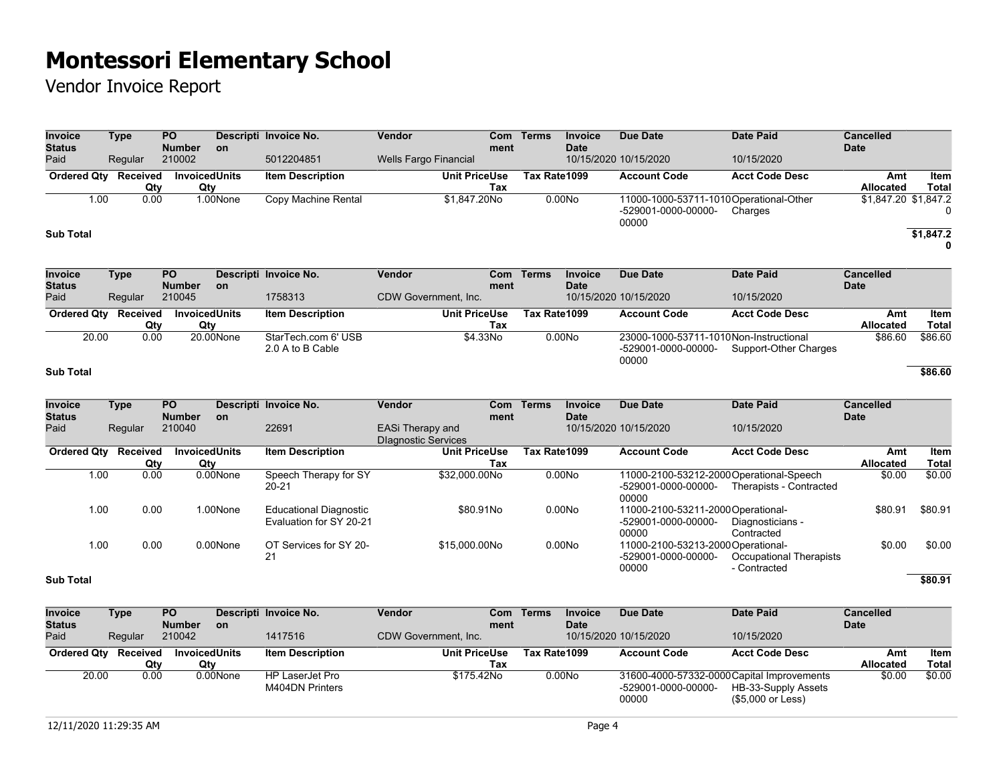| Invoice<br><b>Status</b>        | <b>Type</b> |                        | $\overline{PQ}$<br><b>Number</b> |           | Descripti Invoice No.                                    | Vendor                                                | Com<br>ment                 | <b>Terms</b>       | <b>Invoice</b><br><b>Date</b> | <b>Due Date</b>                                                         | <b>Date Paid</b>                        | <b>Cancelled</b><br><b>Date</b> |                             |
|---------------------------------|-------------|------------------------|----------------------------------|-----------|----------------------------------------------------------|-------------------------------------------------------|-----------------------------|--------------------|-------------------------------|-------------------------------------------------------------------------|-----------------------------------------|---------------------------------|-----------------------------|
| Paid                            |             | Regular                | 210002                           | <b>on</b> | 5012204851                                               | <b>Wells Fargo Financial</b>                          |                             |                    |                               | 10/15/2020 10/15/2020                                                   | 10/15/2020                              |                                 |                             |
| <b>Ordered Qty</b>              |             | <b>Received</b><br>Qty | <b>InvoicedUnits</b><br>Qty      |           | <b>Item Description</b>                                  |                                                       | <b>Unit PriceUse</b><br>Tax | Tax Rate1099       |                               | <b>Account Code</b>                                                     | <b>Acct Code Desc</b>                   | Amt<br>Allocated                | Item<br><b>Total</b>        |
| <b>Sub Total</b>                | 1.00        | 0.00                   |                                  | 1.00None  | Copy Machine Rental                                      |                                                       | \$1,847.20No                | 0.00N <sub>o</sub> |                               | 11000-1000-53711-1010Operational-Other<br>-529001-0000-00000-<br>00000  | Charges                                 | \$1,847.20 \$1,847.2            | 0<br>\$1,847.2<br>0         |
| Invoice                         | <b>Type</b> |                        | $\overline{PO}$                  |           | Descripti Invoice No.                                    | Vendor                                                | Com                         | <b>Terms</b>       | Invoice                       | <b>Due Date</b>                                                         | <b>Date Paid</b>                        | <b>Cancelled</b>                |                             |
| <b>Status</b><br>Paid           |             | Regular                | <b>Number</b><br>210045          | <b>on</b> | 1758313                                                  | CDW Government, Inc.                                  | ment                        |                    | <b>Date</b>                   | 10/15/2020 10/15/2020                                                   | 10/15/2020                              | <b>Date</b>                     |                             |
| <b>Ordered Qty</b>              |             | Received<br>Qty        | <b>InvoicedUnits</b><br>Qty      |           | <b>Item Description</b>                                  |                                                       | <b>Unit PriceUse</b><br>Tax | Tax Rate1099       |                               | <b>Account Code</b>                                                     | <b>Acct Code Desc</b>                   | Amt<br><b>Allocated</b>         | <b>Item</b><br><b>Total</b> |
| 20.00                           |             | 0.00                   |                                  | 20.00None | StarTech.com 6' USB<br>2.0 A to B Cable                  |                                                       | \$4.33No                    |                    | 0.00N <sub>o</sub>            | 23000-1000-53711-1010Non-Instructional<br>-529001-0000-00000-<br>00000  | Support-Other Charges                   | \$86.60                         | \$86.60                     |
| <b>Sub Total</b>                |             |                        |                                  |           |                                                          |                                                       |                             |                    |                               |                                                                         |                                         |                                 | \$86.60                     |
| <b>Invoice</b><br><b>Status</b> | <b>Type</b> |                        | PO<br><b>Number</b>              | <b>on</b> | Descripti Invoice No.                                    | Vendor                                                | Com<br>ment                 | <b>Terms</b>       | <b>Invoice</b><br><b>Date</b> | <b>Due Date</b>                                                         | <b>Date Paid</b>                        | <b>Cancelled</b><br><b>Date</b> |                             |
| Paid                            |             | Regular                | 210040                           |           | 22691                                                    | <b>EASi Therapy and</b><br><b>Dlagnostic Services</b> |                             |                    |                               | 10/15/2020 10/15/2020                                                   | 10/15/2020                              |                                 |                             |
| <b>Ordered Qty</b>              |             | <b>Received</b><br>Qty | <b>InvoicedUnits</b><br>Qty      |           | <b>Item Description</b>                                  |                                                       | <b>Unit PriceUse</b><br>Tax | Tax Rate1099       |                               | <b>Account Code</b>                                                     | <b>Acct Code Desc</b>                   | Amt<br><b>Allocated</b>         | <b>Item</b><br><b>Total</b> |
|                                 | 1.00        | 0.00                   |                                  | 0.00None  | Speech Therapy for SY<br>$20 - 21$                       |                                                       | \$32,000.00No               | 0.00N <sub>o</sub> |                               | 11000-2100-53212-2000Operational-Speech<br>-529001-0000-00000-<br>00000 | Therapists - Contracted                 | \$0.00                          | \$0.00                      |
|                                 | 1.00        | 0.00                   |                                  | 1.00None  | <b>Educational Diagnostic</b><br>Evaluation for SY 20-21 |                                                       | \$80.91No                   | 0.00No             |                               | 11000-2100-53211-2000Operational-<br>-529001-0000-00000-<br>00000       | Diagnosticians -<br>Contracted          | \$80.91                         | \$80.91                     |
|                                 | 1.00        | 0.00                   |                                  | 0.00None  | OT Services for SY 20-<br>21                             |                                                       | \$15,000.00No               | 0.00No             |                               | 11000-2100-53213-2000 Operational-<br>-529001-0000-00000-<br>00000      | Occupational Therapists<br>- Contracted | \$0.00                          | \$0.00                      |
| <b>Sub Total</b>                |             |                        |                                  |           |                                                          |                                                       |                             |                    |                               |                                                                         |                                         |                                 | \$80.91                     |

| <b>Invoice</b><br><b>Status</b> | Type    | <b>PO</b><br><b>Number</b> | <b>on</b> | Descripti Invoice No.              | <b>Vendor</b><br>Com<br>ment | <b>Terms</b> | <b>Invoice</b><br><b>Date</b> | Due Date                     | Date Paid                                                                              | Cancelled<br><b>Date</b> |        |
|---------------------------------|---------|----------------------------|-----------|------------------------------------|------------------------------|--------------|-------------------------------|------------------------------|----------------------------------------------------------------------------------------|--------------------------|--------|
| Paid                            | Regular | 210042                     |           | 1417516                            | CDW Government, Inc.         |              |                               | 10/15/2020 10/15/2020        | 10/15/2020                                                                             |                          |        |
| Ordered Qty Received            |         | <b>InvoicedUnits</b>       |           | <b>Item Description</b>            | <b>Unit PriceUse</b>         | Tax Rate1099 |                               | <b>Account Code</b>          | <b>Acct Code Desc</b>                                                                  | Amt                      | Item   |
|                                 | Qty     | Qty                        |           |                                    | Tax                          |              |                               |                              |                                                                                        | <b>Allocated</b>         | Total  |
| 20.00                           | 0.00    |                            | 0.00None  | HP LaserJet Pro<br>M404DN Printers | \$175.42No                   |              | 0.00N <sub>O</sub>            | -529001-0000-00000-<br>00000 | 31600-4000-57332-0000 Capital Improvements<br>HB-33-Supply Assets<br>(\$5,000 or Less) | \$0.00                   | \$0.00 |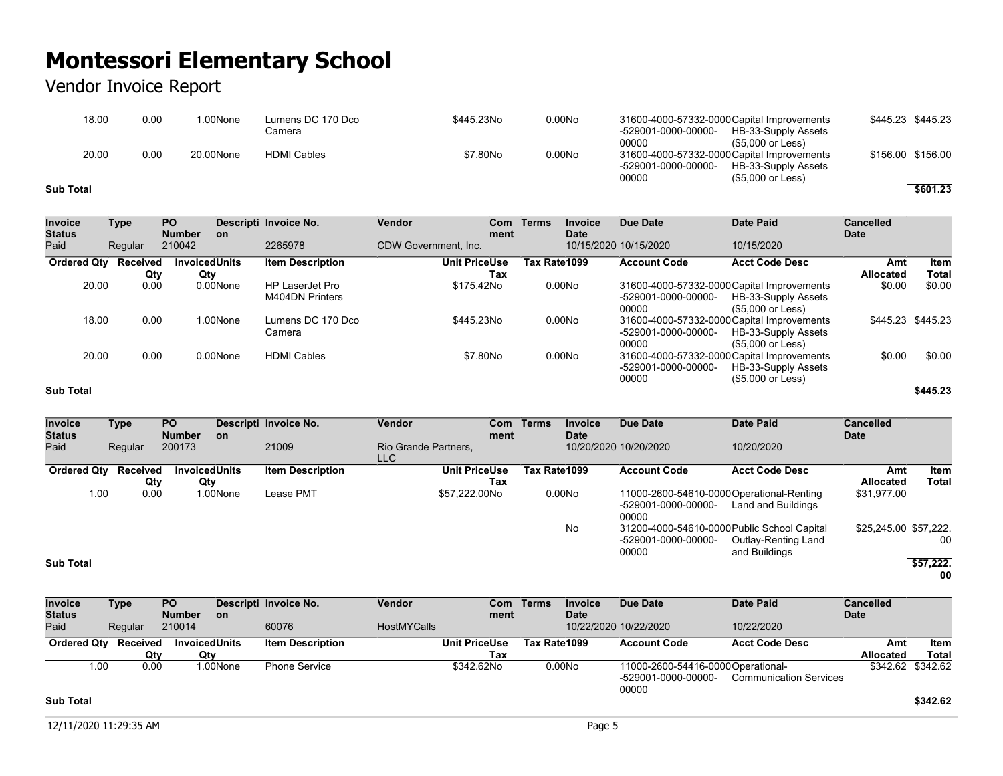### Vendor Invoice Report

| 18.00     | 0.00 | .00None   | Lumens DC 170 Dco<br>Camera | \$445.23No | 0.00N <sub>O</sub> | 31600-4000-57332-0000 Capital Improvements<br>-529001-0000-00000-<br>00000 | HB-33-Supply Assets<br>(\$5.000 or Less) | \$445.23 \$445.23 |          |
|-----------|------|-----------|-----------------------------|------------|--------------------|----------------------------------------------------------------------------|------------------------------------------|-------------------|----------|
| 20.00     | 0.00 | 20.00None | <b>HDMI Cables</b>          | \$7.80No   | 0.00No             | 31600-4000-57332-0000 Capital Improvements<br>-529001-0000-00000-<br>00000 | HB-33-Supply Assets<br>(\$5.000 or Less) | \$156.00 \$156.00 |          |
| Sub Total |      |           |                             |            |                    |                                                                            |                                          |                   | \$601.23 |

| <b>Invoice</b><br><b>Status</b> | Type            | <b>PO</b><br><b>Number</b>  | <b>on</b> | Descripti Invoice No.                     | Vendor<br>Com<br>ment       | Terms<br><b>Invoice</b><br><b>Date</b> | <b>Due Date</b>              | <b>Date Paid</b>                                                                       | <b>Cancelled</b><br><b>Date</b> |                             |
|---------------------------------|-----------------|-----------------------------|-----------|-------------------------------------------|-----------------------------|----------------------------------------|------------------------------|----------------------------------------------------------------------------------------|---------------------------------|-----------------------------|
| Paid                            | Regular         | 210042                      |           | 2265978                                   | CDW Government, Inc.        |                                        | 10/15/2020 10/15/2020        | 10/15/2020                                                                             |                                 |                             |
| <b>Ordered Qty</b>              | Received<br>Qty | <b>InvoicedUnits</b><br>Qty |           | <b>Item Description</b>                   | <b>Unit PriceUse</b><br>Tax | Tax Rate1099                           | <b>Account Code</b>          | <b>Acct Code Desc</b>                                                                  | Amt<br>Allocated                | <b>Item</b><br><b>Total</b> |
| 20.00                           | 0.00            |                             | 0.00None  | <b>HP LaserJet Pro</b><br>M404DN Printers | \$175.42No                  | 0.00N <sub>O</sub>                     | -529001-0000-00000-<br>00000 | 31600-4000-57332-0000 Capital Improvements<br>HB-33-Supply Assets<br>(\$5,000 or Less) | \$0.00                          | \$0.00                      |
| 18.00                           | 0.00            |                             | 1.00None  | Lumens DC 170 Dco<br>Camera               | \$445.23No                  | 0.00No                                 | -529001-0000-00000-<br>00000 | 31600-4000-57332-0000 Capital Improvements<br>HB-33-Supply Assets<br>(\$5.000 or Less) |                                 | \$445.23 \$445.23           |
| 20.00                           | 0.00            |                             | 0.00None  | <b>HDMI Cables</b>                        | \$7.80No                    | 0.00No                                 | -529001-0000-00000-<br>00000 | 31600-4000-57332-0000 Capital Improvements<br>HB-33-Supply Assets<br>(\$5,000 or Less) | \$0.00                          | \$0.00                      |
| <b>Sub Total</b>                |                 |                             |           |                                           |                             |                                        |                              |                                                                                        |                                 | \$445.23                    |

#### **Invoice Status Type PO Number Descripti Invoice No. Vendor Com on ment Terms Invoice Date Due Date Date Paid Cancelled Date** Paid Regular 200173 21009 Rio Grande Partners, LLC 10/20/2020 10/20/2020 10/20/2020 **Ordered Qty Received Qty**<br>0.00 **Invoiced Units Qty**<br>1.00None **Item Description Unit PriceUse Tax Tax Rate1099 Account Code Acct Code Desc Amt Allocated Item Total** 1.00 0.00 1.00None Lease PMT \$57,222.00No 0.00No 11000-2600-54610-0000 Operational-Renting -529001-0000-00000- 00000 Land and Buildings \$31,977.00 No 31200-4000-54610-0000 Public School Capital -529001-0000-00000- 00000 Outlay-Renting Land and Buildings \$25,245.00 \$57,222. 00 **Sub Total \$57,222. 00**

| <b>Invoice</b>     | Type     | <b>PO</b>            |          | Descripti Invoice No.   | Vendor             |                      | Com Terms    | Invoice            | Due Date                                                           | Date Paid                     | <b>Cancelled</b> |                   |
|--------------------|----------|----------------------|----------|-------------------------|--------------------|----------------------|--------------|--------------------|--------------------------------------------------------------------|-------------------------------|------------------|-------------------|
| <b>Status</b>      |          | <b>Number</b>        | -on      |                         |                    | ment                 |              | <b>Date</b>        |                                                                    |                               | <b>Date</b>      |                   |
| Paid               | Regular  | 210014               |          | 60076                   | <b>HostMYCalls</b> |                      |              |                    | 10/22/2020 10/22/2020                                              | 10/22/2020                    |                  |                   |
| <b>Ordered Qtv</b> | Received | <b>InvoicedUnits</b> |          | <b>Item Description</b> |                    | <b>Unit PriceUse</b> | Tax Rate1099 |                    | <b>Account Code</b>                                                | <b>Acct Code Desc</b>         | Amt              | Item              |
|                    | Qty      | Qty                  |          |                         |                    | Tax                  |              |                    |                                                                    |                               | <b>Allocated</b> | Total             |
| 1.00               | 0.00     |                      | 1.00None | <b>Phone Service</b>    |                    | \$342.62No           |              | 0.00N <sub>O</sub> | 11000-2600-54416-0000 Operational-<br>-529001-0000-00000-<br>00000 | <b>Communication Services</b> |                  | \$342.62 \$342.62 |

### **Sub Total \$342.62**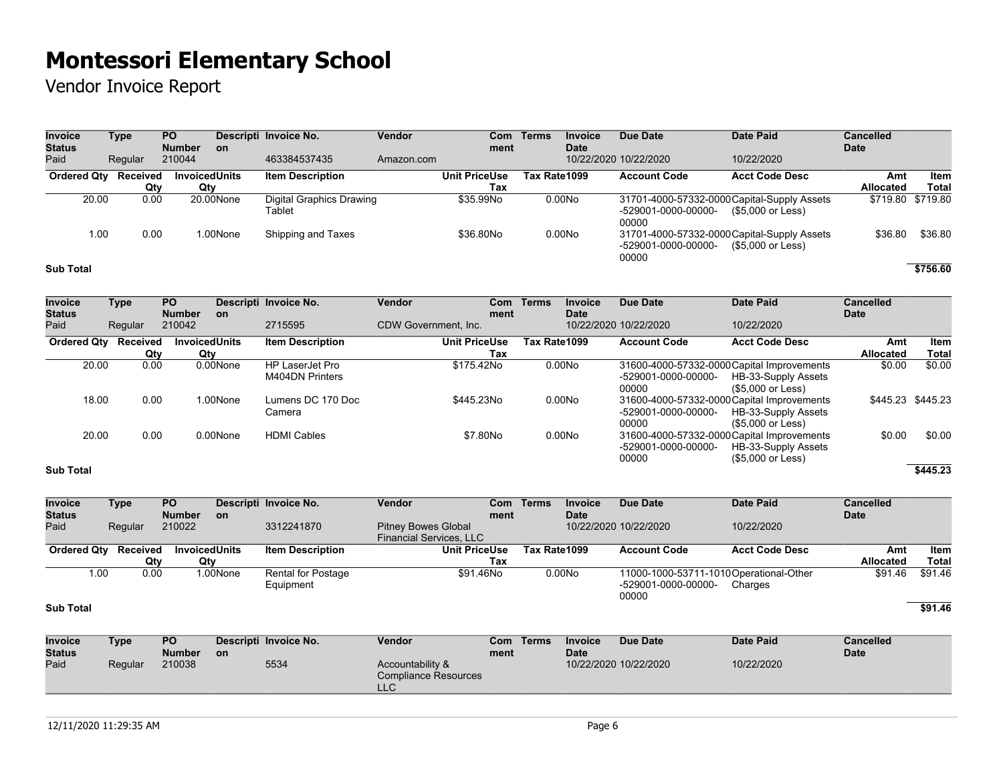Vendor Invoice Report

| <b>Invoice</b><br>Status | Type     | <b>PO</b><br><b>Number</b> | <b>on</b>            | Descripti Invoice No.              | Vendor     | Com<br>ment          | <b>Terms</b> | <b>Invoice</b><br><b>Date</b> | Due Date                     | Date Paid                                                        | <b>Cancelled</b><br><b>Date</b> |                   |
|--------------------------|----------|----------------------------|----------------------|------------------------------------|------------|----------------------|--------------|-------------------------------|------------------------------|------------------------------------------------------------------|---------------------------------|-------------------|
| Paid                     | Regular  | 210044                     |                      | 463384537435                       | Amazon.com |                      |              |                               | 10/22/2020 10/22/2020        | 10/22/2020                                                       |                                 |                   |
| <b>Ordered Qtv</b>       | Received |                            | <b>InvoicedUnits</b> | <b>Item Description</b>            |            | <b>Unit PriceUse</b> | Tax Rate1099 |                               | <b>Account Code</b>          | <b>Acct Code Desc</b>                                            | Amt                             | Item              |
|                          | Qty      | Qtv                        |                      |                                    |            | Tax                  |              |                               |                              |                                                                  | <b>Allocated</b>                | Total             |
| 20.00                    | 0.00     |                            | 20.00None            | Digital Graphics Drawing<br>Tablet |            | \$35.99No            |              | 0.00N <sub>O</sub>            | -529001-0000-00000-<br>00000 | 31701-4000-57332-0000 Capital-Supply Assets<br>(\$5.000 or Less) |                                 | \$719.80 \$719.80 |
| 1.00                     | 0.00     |                            | 1.00None             | Shipping and Taxes                 |            | \$36,80No            |              | 0.00N <sub>O</sub>            | -529001-0000-00000-<br>00000 | 31701-4000-57332-0000 Capital-Supply Assets<br>(\$5,000 or Less) | \$36.80                         | \$36.80           |
| <b>Sub Total</b>         |          |                            |                      |                                    |            |                      |              |                               |                              |                                                                  |                                 | \$756.60          |

| <b>Invoice</b>        | Type     | <b>PO</b>               |           | Descripti Invoice No.   | <b>Vendor</b>        | Com        | <b>Terms</b> | <b>Invoice</b> | <b>Due Date</b>       | <b>Date Paid</b>                           | <b>Cancelled</b> |                   |
|-----------------------|----------|-------------------------|-----------|-------------------------|----------------------|------------|--------------|----------------|-----------------------|--------------------------------------------|------------------|-------------------|
| <b>Status</b><br>Paid |          | <b>Number</b><br>210042 | <b>on</b> | 2715595                 | CDW Government. Inc. | ment       |              | <b>Date</b>    | 10/22/2020 10/22/2020 | 10/22/2020                                 | <b>Date</b>      |                   |
|                       | Regular  |                         |           |                         |                      |            |              |                |                       |                                            |                  |                   |
| <b>Ordered Qty</b>    | Received | <b>InvoicedUnits</b>    |           | <b>Item Description</b> | <b>Unit PriceUse</b> |            | Tax Rate1099 |                | <b>Account Code</b>   | <b>Acct Code Desc</b>                      | Amt              | Item              |
|                       | Qtv      | Qty                     |           |                         |                      | Tax        |              |                |                       |                                            | Allocated        | <b>Total</b>      |
| 20.00                 | 0.00     |                         | 0.00None  | <b>HP LaserJet Pro</b>  |                      | \$175.42No |              | 0.00No         |                       | 31600-4000-57332-0000 Capital Improvements | \$0.00           | \$0.00            |
|                       |          |                         |           | M404DN Printers         |                      |            |              |                | -529001-0000-00000-   | HB-33-Supply Assets                        |                  |                   |
|                       |          |                         |           |                         |                      |            |              |                | 00000                 | (\$5.000 or Less)                          |                  |                   |
| 18.00                 | 0.00     |                         | 1.00None  | Lumens DC 170 Doc       |                      | \$445.23No |              | 0.00No         |                       | 31600-4000-57332-0000 Capital Improvements |                  | \$445.23 \$445.23 |
|                       |          |                         |           | Camera                  |                      |            |              |                | -529001-0000-00000-   | HB-33-Supply Assets                        |                  |                   |
|                       |          |                         |           |                         |                      |            |              |                | 00000                 | (\$5,000 or Less)                          |                  |                   |
| 20.00                 | 0.00     |                         | 0.00None  | <b>HDMI Cables</b>      |                      | \$7.80No   |              | 0.00No         |                       | 31600-4000-57332-0000 Capital Improvements | \$0.00           | \$0.00            |
|                       |          |                         |           |                         |                      |            |              |                | -529001-0000-00000-   | HB-33-Supply Assets                        |                  |                   |
|                       |          |                         |           |                         |                      |            |              |                | 00000                 | (\$5,000 or Less)                          |                  |                   |
| <b>Sub Total</b>      |          |                         |           |                         |                      |            |              |                |                       |                                            |                  | \$445.23          |

| <b>Invoice</b><br><b>Status</b> | Type    | <b>PO</b><br><b>Number</b> | <b>on</b> | Descripti Invoice No.                  | <b>Vendor</b>                                                | ment | Com Terms    | Invoice<br>Date    | Due Date                                                               | Date Paid             | Cancelled<br><b>Date</b> |         |
|---------------------------------|---------|----------------------------|-----------|----------------------------------------|--------------------------------------------------------------|------|--------------|--------------------|------------------------------------------------------------------------|-----------------------|--------------------------|---------|
| Paid                            | Regular | 210022                     |           | 3312241870                             | <b>Pitney Bowes Global</b><br><b>Financial Services, LLC</b> |      |              |                    | 10/22/2020 10/22/2020                                                  | 10/22/2020            |                          |         |
| Ordered Qty Received            |         | <b>InvoicedUnits</b>       |           | <b>Item Description</b>                | <b>Unit PriceUse</b>                                         |      | Tax Rate1099 |                    | <b>Account Code</b>                                                    | <b>Acct Code Desc</b> | Amt                      | ltem    |
|                                 | Qtv     | Qty                        |           |                                        |                                                              | Tax  |              |                    |                                                                        |                       | <b>Allocated</b>         | Total   |
| 1.00                            | 0.00    |                            | 1.00None  | <b>Rental for Postage</b><br>Equipment | \$91.46No                                                    |      |              | 0.00N <sub>O</sub> | 11000-1000-53711-1010Operational-Other<br>-529001-0000-00000-<br>00000 | Charges               | \$91.46                  | \$91.46 |

#### **Sub Total \$91.46**

| <b>Invoice</b> | Type    | <b>PO</b>     |           | Descripti Invoice No. | Vendor                                          | Com  | Terms | <b>Invoice</b> | Due Date              | <b>Date Paid</b> | Cancelled   |
|----------------|---------|---------------|-----------|-----------------------|-------------------------------------------------|------|-------|----------------|-----------------------|------------------|-------------|
| <b>Status</b>  |         | <b>Number</b> | <b>on</b> |                       |                                                 | ment |       | <b>Date</b>    |                       |                  | <b>Date</b> |
| Paid           | Regular | 210038        |           | 5534                  | Accountability &<br>Compliance Resources<br>LLC |      |       |                | 10/22/2020 10/22/2020 | 10/22/2020       |             |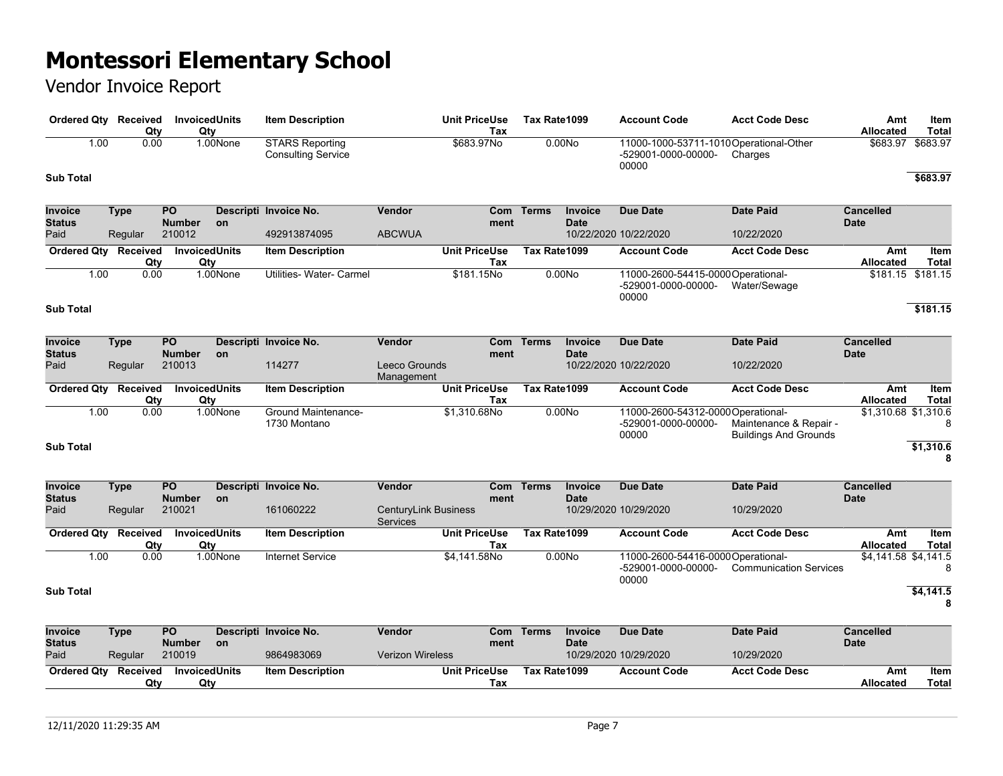| Ordered Qty Received            |             | Qty             | <b>InvoicedUnits</b><br>Qty      |          | <b>Item Description</b>                             |                                         | <b>Unit PriceUse</b><br>Tax | Tax Rate1099 |                               | <b>Account Code</b>                                                    | <b>Acct Code Desc</b>                                  | Amt<br><b>Allocated</b>         | Item<br><b>Total</b> |
|---------------------------------|-------------|-----------------|----------------------------------|----------|-----------------------------------------------------|-----------------------------------------|-----------------------------|--------------|-------------------------------|------------------------------------------------------------------------|--------------------------------------------------------|---------------------------------|----------------------|
|                                 | 1.00        | 0.00            |                                  | 1.00None | <b>STARS Reporting</b><br><b>Consulting Service</b> |                                         | \$683.97No                  |              | 0.00N <sub>o</sub>            | 11000-1000-53711-1010Operational-Other<br>-529001-0000-00000-<br>00000 | Charges                                                | \$683.97                        | \$683.97             |
| <b>Sub Total</b>                |             |                 |                                  |          |                                                     |                                         |                             |              |                               |                                                                        |                                                        |                                 | \$683.97             |
| Invoice<br><b>Status</b>        | <b>Type</b> |                 | PO<br><b>Number</b>              | on       | Descripti Invoice No.                               | Vendor                                  | Com<br>ment                 | <b>Terms</b> | <b>Invoice</b><br><b>Date</b> | <b>Due Date</b>                                                        | <b>Date Paid</b>                                       | <b>Cancelled</b><br><b>Date</b> |                      |
| Paid                            |             | Regular         | 210012                           |          | 492913874095                                        | <b>ABCWUA</b>                           |                             |              |                               | 10/22/2020 10/22/2020                                                  | 10/22/2020                                             |                                 |                      |
| <b>Ordered Qty</b>              |             | Received<br>Qty | InvoicedUnits<br>Qty             |          | <b>Item Description</b>                             |                                         | <b>Unit PriceUse</b><br>Tax | Tax Rate1099 |                               | <b>Account Code</b>                                                    | <b>Acct Code Desc</b>                                  | Amt<br><b>Allocated</b>         | Item<br><b>Total</b> |
|                                 | 1.00        | 0.00            |                                  | 1.00None | Utilities- Water- Carmel                            |                                         | \$181.15No                  |              | 0.00N <sub>o</sub>            | 11000-2600-54415-0000 Operational-<br>-529001-0000-00000-<br>00000     | Water/Sewage                                           |                                 | $$181.15$ $$181.15$  |
| <b>Sub Total</b>                |             |                 |                                  |          |                                                     |                                         |                             |              |                               |                                                                        |                                                        |                                 | \$181.15             |
| <b>Invoice</b><br><b>Status</b> | <b>Type</b> |                 | $\overline{PQ}$<br><b>Number</b> | on       | Descripti Invoice No.                               | Vendor                                  | Com<br>ment                 | <b>Terms</b> | <b>Invoice</b><br><b>Date</b> | <b>Due Date</b>                                                        | <b>Date Paid</b>                                       | <b>Cancelled</b><br><b>Date</b> |                      |
| Paid                            |             | Regular         | 210013                           |          | 114277                                              | Leeco Grounds<br>Management             |                             |              |                               | 10/22/2020 10/22/2020                                                  | 10/22/2020                                             |                                 |                      |
| <b>Ordered Qty</b>              |             | Received<br>Qty | <b>InvoicedUnits</b><br>Qty      |          | <b>Item Description</b>                             |                                         | <b>Unit PriceUse</b><br>Tax | Tax Rate1099 |                               | <b>Account Code</b>                                                    | <b>Acct Code Desc</b>                                  | Amt<br><b>Allocated</b>         | Item<br><b>Total</b> |
|                                 | 1.00        | 0.00            |                                  | 1.00None | <b>Ground Maintenance-</b><br>1730 Montano          |                                         | \$1,310.68No                |              | 0.00N <sub>o</sub>            | 11000-2600-54312-0000Operational-<br>-529001-0000-00000-<br>00000      | Maintenance & Repair -<br><b>Buildings And Grounds</b> | \$1,310.68 \$1,310.6            |                      |
| <b>Sub Total</b>                |             |                 |                                  |          |                                                     |                                         |                             |              |                               |                                                                        |                                                        |                                 | \$1,310.6<br>8       |
| Invoice<br><b>Status</b>        | <b>Type</b> |                 | PO<br><b>Number</b>              | on       | Descripti Invoice No.                               | Vendor                                  | ment                        | Com Terms    | <b>Invoice</b><br><b>Date</b> | <b>Due Date</b>                                                        | <b>Date Paid</b>                                       | <b>Cancelled</b><br><b>Date</b> |                      |
| Paid                            |             | Regular         | 210021                           |          | 161060222                                           | <b>CenturyLink Business</b><br>Services |                             |              |                               | 10/29/2020 10/29/2020                                                  | 10/29/2020                                             |                                 |                      |
| <b>Ordered Qty</b>              |             | Received<br>Qty | <b>InvoicedUnits</b><br>Qty      |          | <b>Item Description</b>                             |                                         | <b>Unit PriceUse</b><br>Tax | Tax Rate1099 |                               | <b>Account Code</b>                                                    | <b>Acct Code Desc</b>                                  | Amt<br>Allocated                | Item<br><b>Total</b> |
|                                 | 1.00        | 0.00            |                                  | 1.00None | <b>Internet Service</b>                             |                                         | \$4,141.58No                |              | 0.00N <sub>O</sub>            | 11000-2600-54416-0000 Operational-<br>-529001-0000-00000-<br>00000     | <b>Communication Services</b>                          | \$4,141.58 \$4,141.5            | 8                    |
| <b>Sub Total</b>                |             |                 |                                  |          |                                                     |                                         |                             |              |                               |                                                                        |                                                        |                                 | \$4,141.5<br>8       |
| <b>Invoice</b><br><b>Status</b> | <b>Type</b> |                 | <b>PO</b><br><b>Number</b>       | on       | Descripti Invoice No.                               | Vendor                                  | Com<br>ment                 | <b>Terms</b> | <b>Invoice</b><br><b>Date</b> | <b>Due Date</b>                                                        | <b>Date Paid</b>                                       | Cancelled<br><b>Date</b>        |                      |
| Paid                            |             | Regular         | 210019                           |          | 9864983069                                          | <b>Verizon Wireless</b>                 |                             |              |                               | 10/29/2020 10/29/2020                                                  | 10/29/2020                                             |                                 |                      |
| <b>Ordered Qty</b>              |             | Received<br>Qty | <b>InvoicedUnits</b><br>Qty      |          | <b>Item Description</b>                             |                                         | <b>Unit PriceUse</b><br>Tax | Tax Rate1099 |                               | <b>Account Code</b>                                                    | <b>Acct Code Desc</b>                                  | Amt<br>Allocated                | Item<br><b>Total</b> |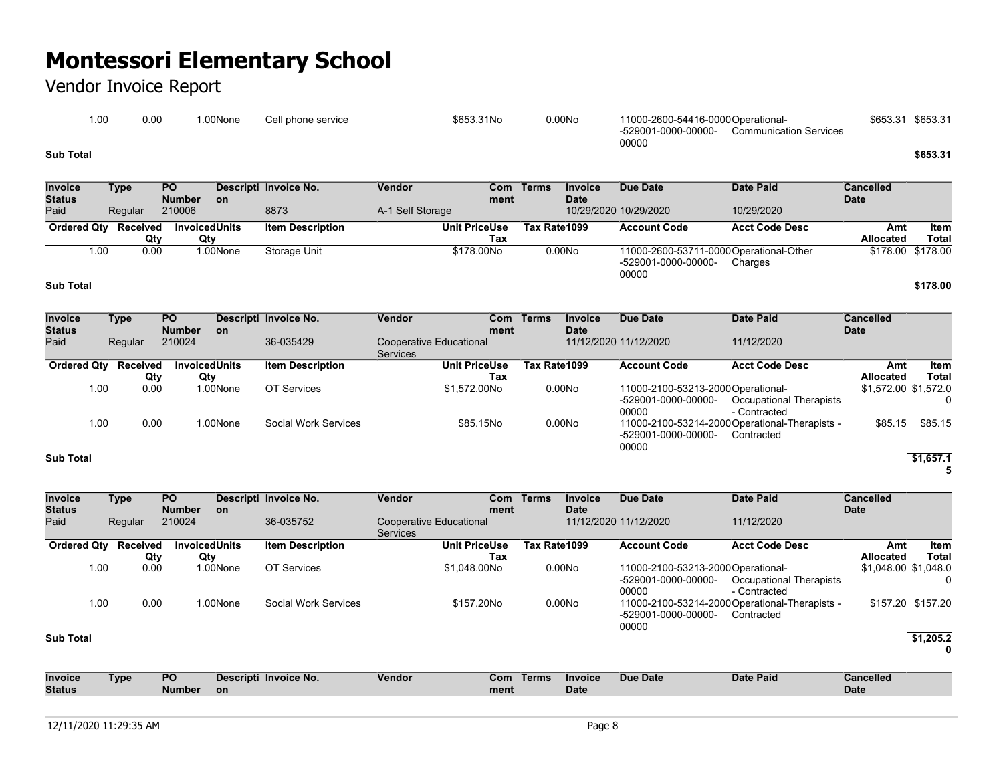## Vendor Invoice Report

| .00       | 0.00 | .00None | Cell phone service | \$653.31No | 0.00N <sub>O</sub> | 11000-2600-54416-0000 Operational- |                               | \$653.31 | \$653.31 |
|-----------|------|---------|--------------------|------------|--------------------|------------------------------------|-------------------------------|----------|----------|
|           |      |         |                    |            |                    | -529001-0000-00000-<br>00000       | <b>Communication Services</b> |          |          |
| Sub Total |      |         |                    |            |                    |                                    |                               |          | \$653.31 |

| <b>Invoice</b><br><b>Status</b> | Type     | <b>PO</b><br><b>Number</b> |           | Descripti Invoice No.   | Vendor           | Com<br>ment          | Terms        | <b>Invoice</b><br><b>Date</b> | Due Date              | Date Paid                               | Cancelled<br><b>Date</b> |                   |
|---------------------------------|----------|----------------------------|-----------|-------------------------|------------------|----------------------|--------------|-------------------------------|-----------------------|-----------------------------------------|--------------------------|-------------------|
| Paid                            | Regular  | 210006                     | <b>on</b> | 8873                    | A-1 Self Storage |                      |              |                               | 10/29/2020 10/29/2020 | 10/29/2020                              |                          |                   |
| <b>Ordered Qty</b>              | Received | <b>InvoicedUnits</b>       |           | <b>Item Description</b> |                  | <b>Unit PriceUse</b> | Tax Rate1099 |                               | <b>Account Code</b>   | <b>Acct Code Desc</b>                   | Amt                      | ltem              |
|                                 | Qtv      | Qtv                        |           |                         |                  | Tax                  |              |                               |                       |                                         | <b>Allocated</b>         | Total             |
| 1.00                            | 0.00     |                            | 1.00None  | Storage Unit            |                  | \$178,00No           |              | 0.00N <sub>0</sub>            |                       | 11000-2600-53711-0000 Operational-Other |                          | \$178.00 \$178.00 |
|                                 |          |                            |           |                         |                  |                      |              |                               | -529001-0000-00000-   | Charges                                 |                          |                   |
|                                 |          |                            |           |                         |                  |                      |              |                               | 00000                 |                                         |                          |                   |

#### **Sub Total \$178.00**

| Invoice            | Type     | <b>PO</b>     |                      | Descripti Invoice No.   | Vendor                  |      | Com Terms    | <b>Invoice</b>     | Due Date                          | <b>Date Paid</b>                               | <b>Cancelled</b>     |              |
|--------------------|----------|---------------|----------------------|-------------------------|-------------------------|------|--------------|--------------------|-----------------------------------|------------------------------------------------|----------------------|--------------|
| <b>Status</b>      |          | <b>Number</b> | <b>on</b>            |                         |                         | ment |              | <b>Date</b>        |                                   |                                                | <b>Date</b>          |              |
| Paid               | Regular  | 210024        |                      | 36-035429               | Cooperative Educational |      |              |                    | 11/12/2020 11/12/2020             | 11/12/2020                                     |                      |              |
|                    |          |               |                      |                         | <b>Services</b>         |      |              |                    |                                   |                                                |                      |              |
| <b>Ordered Qty</b> | Received |               | <b>InvoicedUnits</b> | <b>Item Description</b> | <b>Unit PriceUse</b>    |      | Tax Rate1099 |                    | <b>Account Code</b>               | <b>Acct Code Desc</b>                          | Amt                  | Item         |
|                    | Qty      | Qty           |                      |                         |                         | Tax  |              |                    |                                   |                                                | <b>Allocated</b>     | <b>Total</b> |
| 1.00               | 0.00     |               | 1.00None             | OT Services             | \$1.572.00No            |      |              | 0.00N <sub>o</sub> | 11000-2100-53213-2000Operational- |                                                | \$1,572.00 \$1,572.0 |              |
|                    |          |               |                      |                         |                         |      |              |                    | -529001-0000-00000-               | Occupational Therapists                        |                      |              |
|                    |          |               |                      |                         |                         |      |              |                    | 00000                             | - Contracted                                   |                      |              |
| 1.00               | 0.00     |               | 1.00None             | Social Work Services    | \$85.15No               |      |              | 0.00N <sub>o</sub> |                                   | 11000-2100-53214-2000 Operational-Therapists - | \$85.15              | \$85.15      |
|                    |          |               |                      |                         |                         |      |              |                    | -529001-0000-00000-               | Contracted                                     |                      |              |
|                    |          |               |                      |                         |                         |      |              |                    | 00000                             |                                                |                      |              |
| <b>Sub Total</b>   |          |               |                      |                         |                         |      |              |                    |                                   |                                                |                      | \$1.657.1    |

### **5**

| <b>Invoice</b>     | Type     | PO.           |                             | Descripti Invoice No.   | <b>Vendor</b>                       | Com                         | Terms        | <b>Invoice</b>     | Due Date                                                           | Date Paid                                                    | <b>Cancelled</b>     |                      |
|--------------------|----------|---------------|-----------------------------|-------------------------|-------------------------------------|-----------------------------|--------------|--------------------|--------------------------------------------------------------------|--------------------------------------------------------------|----------------------|----------------------|
| <b>Status</b>      |          | <b>Number</b> | <b>on</b>                   |                         |                                     | ment                        |              | <b>Date</b>        |                                                                    |                                                              | <b>Date</b>          |                      |
| Paid               | Regular  | 210024        |                             | 36-035752               | Cooperative Educational<br>Services |                             |              |                    | 11/12/2020 11/12/2020                                              | 11/12/2020                                                   |                      |                      |
| <b>Ordered Qty</b> | Received | Qty           | <b>InvoicedUnits</b><br>Qty | <b>Item Description</b> |                                     | <b>Unit PriceUse</b><br>Tax | Tax Rate1099 |                    | <b>Account Code</b>                                                | <b>Acct Code Desc</b>                                        | Amt<br>Allocated     | <b>Item</b><br>Total |
| 1.00               | 0.00     |               | 1.00None                    | OT Services             |                                     | \$1.048.00No                |              | 0.00No             | 11000-2100-53213-2000 Operational-<br>-529001-0000-00000-<br>00000 | Occupational Therapists<br>- Contracted                      | \$1,048.00 \$1,048.0 |                      |
| 1.00               | 0.00     |               | 1.00None                    | Social Work Services    |                                     | \$157,20No                  |              | 0.00N <sub>O</sub> | -529001-0000-00000-<br>00000                                       | 11000-2100-53214-2000 Operational-Therapists -<br>Contracted |                      | \$157.20 \$157.20    |
| <b>Sub Total</b>   |          |               |                             |                         |                                     |                             |              |                    |                                                                    |                                                              |                      | \$1,205.2<br>0       |
| <b>Invoice</b>     | Type     | <b>PO</b>     |                             | Descripti Invoice No.   | <b>Vendor</b>                       | Com                         | Terms        | <b>Invoice</b>     | Due Date                                                           | <b>Date Paid</b>                                             | <b>Cancelled</b>     |                      |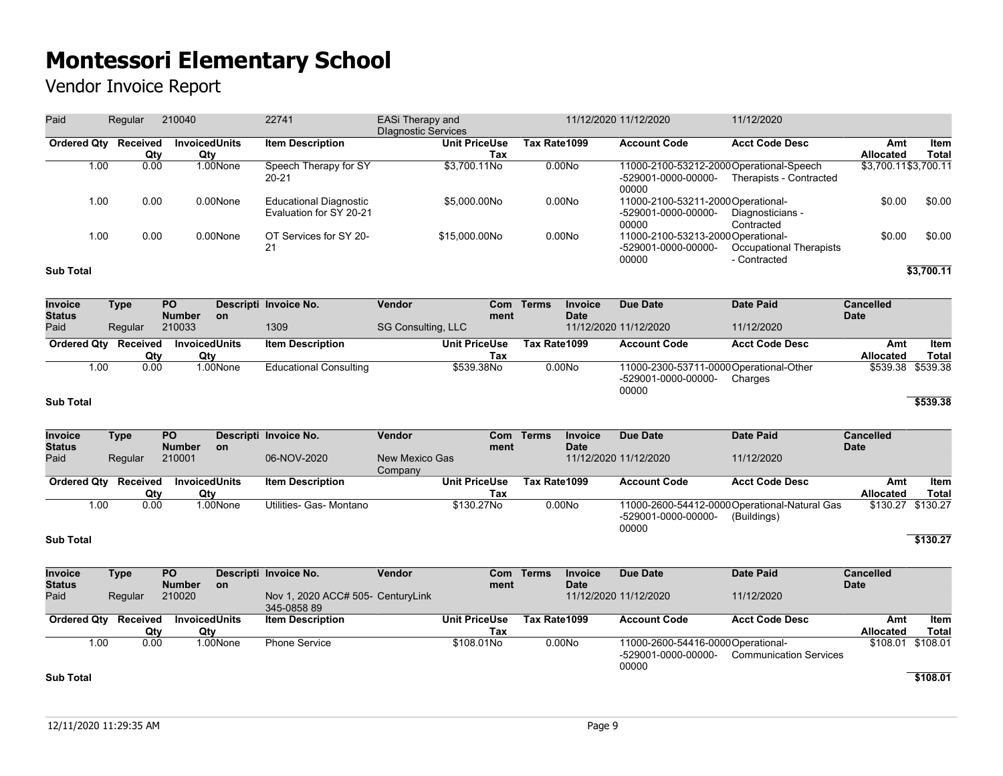Vendor Invoice Report

| Paid               | Regular         | 210040                      | 22741                                             | EASi Therapy and<br><b>Dlagnostic Services</b> |                    | 11/12/2020 11/12/2020                                                   | 11/12/2020                              |                         |               |
|--------------------|-----------------|-----------------------------|---------------------------------------------------|------------------------------------------------|--------------------|-------------------------------------------------------------------------|-----------------------------------------|-------------------------|---------------|
| <b>Ordered Qty</b> | Received<br>Qty | <b>InvoicedUnits</b><br>Qty | <b>Item Description</b>                           | <b>Unit PriceUse</b><br>Tax                    | Tax Rate1099       | <b>Account Code</b>                                                     | <b>Acct Code Desc</b>                   | Amt<br><b>Allocated</b> | Item<br>Total |
| 1.00               | 0.00            | 1.00None                    | Speech Therapy for SY<br>20-21                    | \$3.700.11No                                   | 0.00N <sub>O</sub> | 11000-2100-53212-2000Operational-Speech<br>-529001-0000-00000-<br>00000 | Therapists - Contracted                 | \$3,700.11\$3,700.11    |               |
| 1.00               | 0.00            | 0.00None                    | Educational Diagnostic<br>Evaluation for SY 20-21 | \$5.000.00No                                   | 0.00N <sub>O</sub> | 11000-2100-53211-2000 Operational-<br>-529001-0000-00000-<br>00000      | Diagnosticians -<br>Contracted          | \$0.00                  | \$0.00        |
| 1.00               | 0.00            | 0.00None                    | OT Services for SY 20-<br>21                      | \$15,000,00No                                  | 0.00N <sub>O</sub> | 11000-2100-53213-2000Operational-<br>-529001-0000-00000-<br>00000       | Occupational Therapists<br>- Contracted | \$0.00                  | \$0.00        |
| <b>Sub Total</b>   |                 |                             |                                                   |                                                |                    |                                                                         |                                         |                         | \$3,700.11    |

| Invoice<br><b>Status</b> | Type            | <b>PO</b><br><b>Number</b> | <b>on</b> | Descripti Invoice No.         | Vendor                    | Com<br>ment | Terms        | <b>Invoice</b><br><b>Date</b> | Due Date                     | Date Paid                                          | <b>Cancelled</b><br><b>Date</b> |                   |
|--------------------------|-----------------|----------------------------|-----------|-------------------------------|---------------------------|-------------|--------------|-------------------------------|------------------------------|----------------------------------------------------|---------------------------------|-------------------|
| Paid                     | Regular         | 210033                     |           | 1309                          | <b>SG Consulting, LLC</b> |             |              |                               | 11/12/2020 11/12/2020        | 11/12/2020                                         |                                 |                   |
| <b>Ordered Qty</b>       | <b>Received</b> | <b>InvoicedUnits</b>       |           | <b>Item Description</b>       | <b>Unit PriceUse</b>      |             | Tax Rate1099 |                               | <b>Account Code</b>          | <b>Acct Code Desc</b>                              | Amt                             | ltem              |
|                          | Qtv             | Qty                        |           |                               |                           | Tax         |              |                               |                              |                                                    | <b>Allocated</b>                | Total             |
| 1.00                     | 0.00            |                            | 1.00None  | <b>Educational Consulting</b> | \$539,38No                |             |              | 0.00N <sub>o</sub>            | -529001-0000-00000-<br>00000 | 11000-2300-53711-0000 Operational-Other<br>Charges |                                 | \$539.38 \$539.38 |
| <b>Sub Total</b>         |                 |                            |           |                               |                           |             |              |                               |                              |                                                    |                                 | \$539.38          |

| <b>Invoice</b>     | Type     | <b>PO</b>            |           | Descripti Invoice No.   | Vendor               | Com  | Terms        | <b>Invoice</b>     | Due Date              | Date Paid                                     | <b>Cancelled</b>  |       |
|--------------------|----------|----------------------|-----------|-------------------------|----------------------|------|--------------|--------------------|-----------------------|-----------------------------------------------|-------------------|-------|
| <b>Status</b>      |          | <b>Number</b>        | <b>on</b> |                         |                      | ment |              | <b>Date</b>        |                       |                                               | <b>Date</b>       |       |
| Paid               | Regular  | 210001               |           | 06-NOV-2020             | New Mexico Gas       |      |              |                    | 11/12/2020 11/12/2020 | 11/12/2020                                    |                   |       |
|                    |          |                      |           |                         | Company              |      |              |                    |                       |                                               |                   |       |
| <b>Ordered Qtv</b> | Received | <b>InvoicedUnits</b> |           | Item Description        | <b>Unit PriceUse</b> |      | Tax Rate1099 |                    | <b>Account Code</b>   | <b>Acct Code Desc</b>                         | Amt               | Item  |
|                    | Qtv      | Qty                  |           |                         |                      | Tax  |              |                    |                       |                                               | Allocated         | Total |
| 1.00               | 0.00     |                      | 1.00None  | Utilities- Gas- Montano | \$130,27No           |      |              | 0.00N <sub>o</sub> |                       | 11000-2600-54412-0000 Operational-Natural Gas | \$130.27 \$130.27 |       |
|                    |          |                      |           |                         |                      |      |              |                    | -529001-0000-00000-   | (Buildings)                                   |                   |       |
|                    |          |                      |           |                         |                      |      |              |                    | 00000                 |                                               |                   |       |

### **Sub Total \$130.27**

| Invoice              | Type    | <b>PO</b>     |          | Descripti Invoice No.             | Vendor |                      | Com Terms    | <b>Invoice</b>     | Due Date                           | Date Paid                     | <b>Cancelled</b> |                   |
|----------------------|---------|---------------|----------|-----------------------------------|--------|----------------------|--------------|--------------------|------------------------------------|-------------------------------|------------------|-------------------|
| <b>Status</b>        |         | <b>Number</b> | on.      |                                   |        | ment                 |              | <b>Date</b>        |                                    |                               | <b>Date</b>      |                   |
| Paid                 | Regular | 210020        |          | Nov 1, 2020 ACC# 505- CenturyLink |        |                      |              |                    | 11/12/2020 11/12/2020              | 11/12/2020                    |                  |                   |
|                      |         |               |          | 345-0858 89                       |        |                      |              |                    |                                    |                               |                  |                   |
| Ordered Qtv Received |         | InvoicedUnits |          | <b>Item Description</b>           |        | <b>Unit PriceUse</b> | Tax Rate1099 |                    | <b>Account Code</b>                | <b>Acct Code Desc</b>         | Amt              | Item              |
|                      | Qtv     | Qtv           |          |                                   |        | Tax                  |              |                    |                                    |                               | <b>Allocated</b> | Total             |
| 1.00                 | 0.00    |               | 1.00None | <b>Phone Service</b>              |        | \$108,01No           |              | 0.00N <sub>O</sub> | 11000-2600-54416-0000 Operational- |                               |                  | \$108.01 \$108.01 |
|                      |         |               |          |                                   |        |                      |              |                    | -529001-0000-00000-                | <b>Communication Services</b> |                  |                   |
|                      |         |               |          |                                   |        |                      |              |                    | 00000                              |                               |                  |                   |
| <b>Sub Total</b>     |         |               |          |                                   |        |                      |              |                    |                                    |                               |                  | \$108.01          |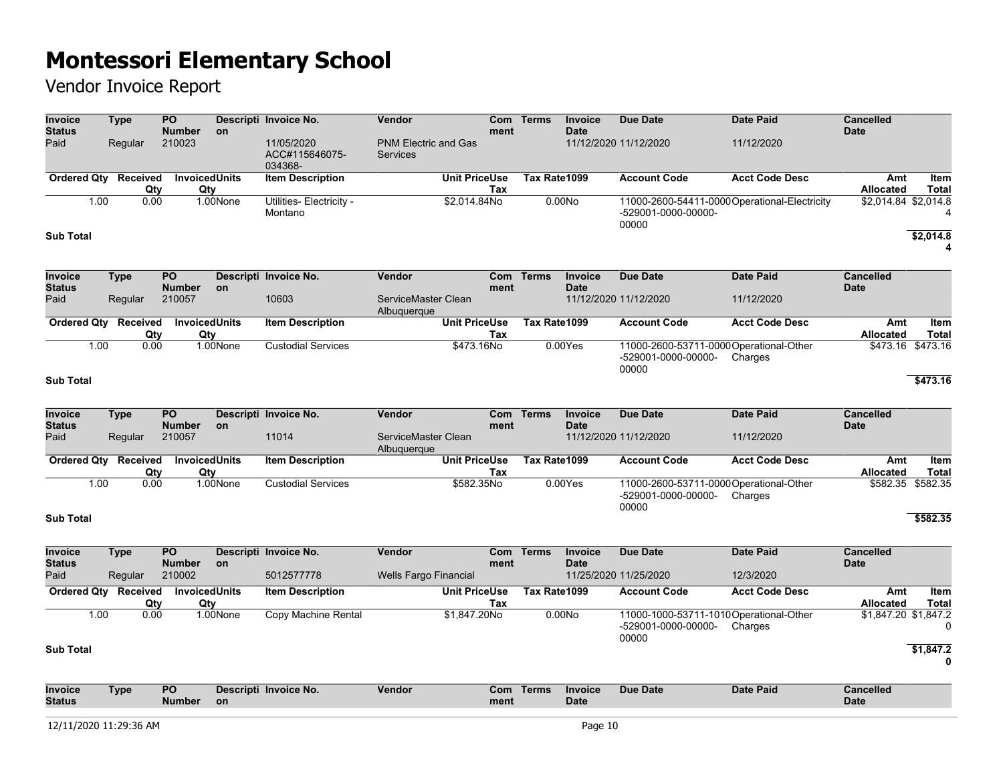| <b>Invoice</b><br><b>Status</b> | <b>Type</b>          |      | $\overline{PQ}$<br><b>Number</b> | on        | Descripti Invoice No.                   | Vendor                                  |                             | <b>Com</b><br>ment | <b>Terms</b> | <b>Invoice</b><br><b>Date</b> | <b>Due Date</b>                                                         | <b>Date Paid</b>                             | Cancelled<br><b>Date</b>        |                           |
|---------------------------------|----------------------|------|----------------------------------|-----------|-----------------------------------------|-----------------------------------------|-----------------------------|--------------------|--------------|-------------------------------|-------------------------------------------------------------------------|----------------------------------------------|---------------------------------|---------------------------|
| Paid                            | Regular              |      | 210023                           |           | 11/05/2020<br>ACC#115646075-<br>034368- | <b>PNM Electric and Gas</b><br>Services |                             |                    |              |                               | 11/12/2020 11/12/2020                                                   | 11/12/2020                                   |                                 |                           |
|                                 | Ordered Qty Received | Qty  | <b>InvoicedUnits</b><br>Qty      |           | <b>Item Description</b>                 |                                         | <b>Unit PriceUse</b><br>Tax |                    | Tax Rate1099 |                               | <b>Account Code</b>                                                     | <b>Acct Code Desc</b>                        | Amt<br>Allocated                | Item<br><b>Total</b>      |
|                                 | 1.00                 | 0.00 |                                  | 1.00None  | Utilities- Electricity -<br>Montano     |                                         | \$2,014.84No                |                    |              | 0.00No                        | -529001-0000-00000-<br>00000                                            | 11000-2600-54411-0000Operational-Electricity | \$2,014.84 \$2,014.8            | 4                         |
| <b>Sub Total</b>                |                      |      |                                  |           |                                         |                                         |                             |                    |              |                               |                                                                         |                                              |                                 | \$2,014.8<br>4            |
| <b>Invoice</b><br><b>Status</b> | <b>Type</b>          |      | PO<br><b>Number</b>              | <b>on</b> | Descripti Invoice No.                   | <b>Vendor</b>                           |                             | Com<br>ment        | <b>Terms</b> | <b>Invoice</b><br><b>Date</b> | <b>Due Date</b>                                                         | <b>Date Paid</b>                             | <b>Cancelled</b><br><b>Date</b> |                           |
| Paid                            | Regular              |      | 210057                           |           | 10603                                   | ServiceMaster Clean<br>Albuquerque      |                             |                    |              |                               | 11/12/2020 11/12/2020                                                   | 11/12/2020                                   |                                 |                           |
|                                 | Ordered Qty Received | Qty  | <b>InvoicedUnits</b><br>Qty      |           | <b>Item Description</b>                 |                                         | <b>Unit PriceUse</b><br>Tax |                    | Tax Rate1099 |                               | <b>Account Code</b>                                                     | <b>Acct Code Desc</b>                        | Amt<br><b>Allocated</b>         | Item<br><b>Total</b>      |
|                                 | 1.00                 | 0.00 |                                  | 1.00None  | <b>Custodial Services</b>               |                                         | \$473.16No                  |                    |              | 0.00Yes                       | 11000-2600-53711-0000 Operational-Other<br>-529001-0000-00000-<br>00000 | Charges                                      | \$473.16 \$473.16               |                           |
| <b>Sub Total</b>                |                      |      |                                  |           |                                         |                                         |                             |                    |              |                               |                                                                         |                                              |                                 | \$473.16                  |
| <b>Invoice</b><br><b>Status</b> | <b>Type</b>          |      | <b>PO</b><br><b>Number</b>       | <b>on</b> | Descripti Invoice No.                   | <b>Vendor</b>                           |                             | Com<br>ment        | <b>Terms</b> | <b>Invoice</b><br><b>Date</b> | <b>Due Date</b>                                                         | <b>Date Paid</b>                             | <b>Cancelled</b><br><b>Date</b> |                           |
| Paid                            | Regular              |      | 210057                           |           | 11014                                   | ServiceMaster Clean<br>Albuquerque      |                             |                    |              |                               | 11/12/2020 11/12/2020                                                   | 11/12/2020                                   |                                 |                           |
|                                 | Ordered Qty Received | Qty  | <b>InvoicedUnits</b><br>Qty      |           | <b>Item Description</b>                 |                                         | <b>Unit PriceUse</b><br>Tax |                    | Tax Rate1099 |                               | <b>Account Code</b>                                                     | <b>Acct Code Desc</b>                        | Amt<br><b>Allocated</b>         | Item<br>Total             |
|                                 | 1.00                 | 0.00 |                                  | 1.00None  | <b>Custodial Services</b>               |                                         | \$582.35No                  |                    |              | 0.00Yes                       | 11000-2600-53711-0000 Operational-Other<br>-529001-0000-00000-<br>00000 | Charges                                      | \$582.35                        | \$582.35                  |
| <b>Sub Total</b>                |                      |      |                                  |           |                                         |                                         |                             |                    |              |                               |                                                                         |                                              |                                 | \$582.35                  |
| <b>Invoice</b><br><b>Status</b> | <b>Type</b>          |      | <b>PO</b><br><b>Number</b>       | on        | Descripti Invoice No.                   | <b>Vendor</b>                           |                             | <b>Com</b><br>ment | <b>Terms</b> | <b>Invoice</b><br><b>Date</b> | <b>Due Date</b>                                                         | <b>Date Paid</b>                             | <b>Cancelled</b><br><b>Date</b> |                           |
| Paid                            | Regular              |      | 210002                           |           | 5012577778                              | <b>Wells Fargo Financial</b>            |                             |                    |              |                               | 11/25/2020 11/25/2020                                                   | 12/3/2020                                    |                                 |                           |
|                                 | Ordered Qty Received | Qty  | <b>InvoicedUnits</b><br>Qty      |           | <b>Item Description</b>                 |                                         | <b>Unit PriceUse</b><br>Tax |                    | Tax Rate1099 |                               | <b>Account Code</b>                                                     | <b>Acct Code Desc</b>                        | Amt<br><b>Allocated</b>         | Item<br><b>Total</b>      |
|                                 | 1.00                 | 0.00 |                                  | 1.00None  | Copy Machine Rental                     |                                         | \$1,847.20No                |                    |              | 0.00No                        | 11000-1000-53711-1010 Operational-Other<br>-529001-0000-00000-<br>00000 | Charges                                      | \$1,847.20 \$1,847.2            | 0                         |
| <b>Sub Total</b>                |                      |      |                                  |           |                                         |                                         |                             |                    |              |                               |                                                                         |                                              |                                 | \$1,847.2<br>$\mathbf{0}$ |
| Invoice<br><b>Status</b>        | <b>Type</b>          |      | PO<br><b>Number</b>              | <b>on</b> | Descripti Invoice No.                   | <b>Vendor</b>                           |                             | <b>Com</b><br>ment | <b>Terms</b> | <b>Invoice</b><br><b>Date</b> | <b>Due Date</b>                                                         | <b>Date Paid</b>                             | <b>Cancelled</b><br><b>Date</b> |                           |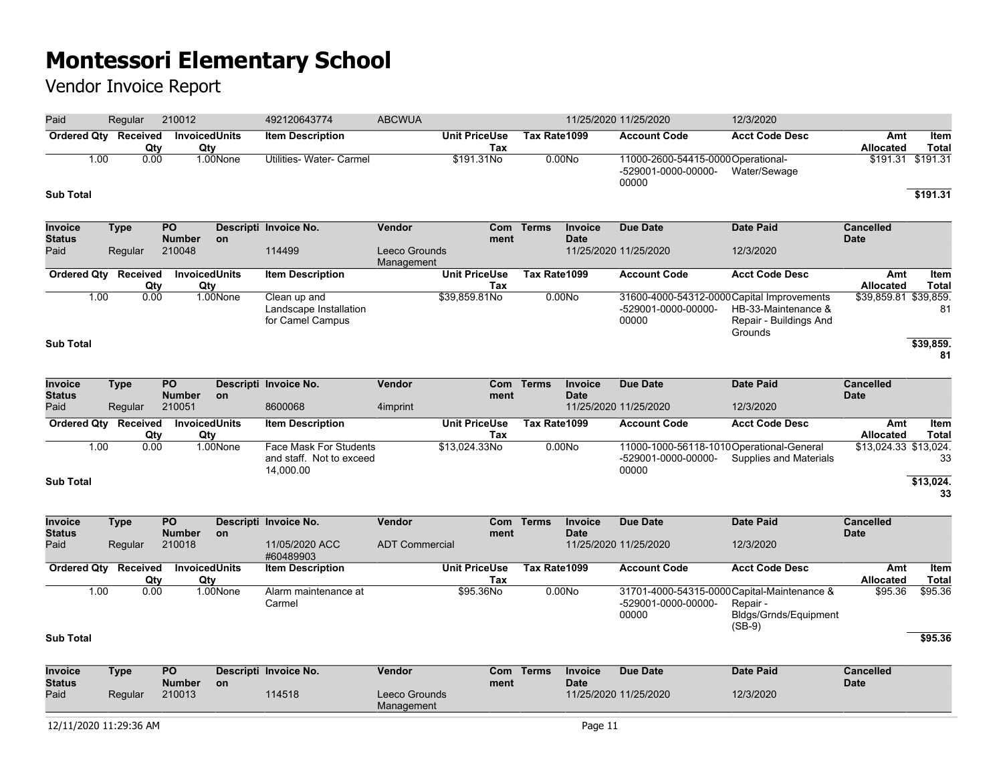| Paid                                    | Regular                | 210012                                     |                             | 492120643774                                                           | <b>ABCWUA</b>                         |                             |              |                               | 11/25/2020 11/25/2020                                                      | 12/3/2020                                                                                    |                                 |                       |
|-----------------------------------------|------------------------|--------------------------------------------|-----------------------------|------------------------------------------------------------------------|---------------------------------------|-----------------------------|--------------|-------------------------------|----------------------------------------------------------------------------|----------------------------------------------------------------------------------------------|---------------------------------|-----------------------|
| <b>Ordered Qty</b>                      | Received               | Qty                                        | <b>InvoicedUnits</b><br>Qty | <b>Item Description</b>                                                |                                       | <b>Unit PriceUse</b><br>Tax | Tax Rate1099 |                               | <b>Account Code</b>                                                        | <b>Acct Code Desc</b>                                                                        | Amt<br><b>Allocated</b>         | Item<br><b>Total</b>  |
| 1.00<br><b>Sub Total</b>                |                        | 0.00                                       | 1.00None                    | Utilities- Water- Carmel                                               |                                       | \$191.31No                  | 0.00No       |                               | 11000-2600-54415-0000 Operational-<br>-529001-0000-00000-<br>00000         | Water/Sewage                                                                                 | \$191.31                        | \$191.31<br>\$191.31  |
| <b>Invoice</b><br><b>Status</b><br>Paid | <b>Type</b><br>Regular | $\overline{PQ}$<br><b>Number</b><br>210048 | on                          | Descripti Invoice No.<br>114499                                        | Vendor<br>Leeco Grounds               | ment                        | Com Terms    | <b>Invoice</b><br><b>Date</b> | <b>Due Date</b><br>11/25/2020 11/25/2020                                   | <b>Date Paid</b><br>12/3/2020                                                                | <b>Cancelled</b><br><b>Date</b> |                       |
| <b>Ordered Qty</b>                      | Received               | Qty                                        | InvoicedUnits<br>Qty        | <b>Item Description</b>                                                | Management                            | <b>Unit PriceUse</b><br>Tax | Tax Rate1099 |                               | <b>Account Code</b>                                                        | <b>Acct Code Desc</b>                                                                        | Amt<br><b>Allocated</b>         | Item<br><b>Total</b>  |
| 1.00<br><b>Sub Total</b>                | 0.00                   |                                            | 1.00None                    | Clean up and<br>Landscape Installation<br>for Camel Campus             |                                       | \$39,859.81No               | 0.00No       |                               | 31600-4000-54312-0000 Capital Improvements<br>-529001-0000-00000-<br>00000 | HB-33-Maintenance &<br>Repair - Buildings And<br>Grounds                                     | \$39,859.81 \$39,859.           | 81<br>\$39,859.<br>81 |
| Invoice                                 | <b>Type</b>            | $\overline{PQ}$                            |                             | Descripti Invoice No.                                                  | Vendor                                | <b>Com</b>                  | <b>Terms</b> | Invoice                       | <b>Due Date</b>                                                            | <b>Date Paid</b>                                                                             | <b>Cancelled</b>                |                       |
| <b>Status</b><br>Paid                   | Regular                | <b>Number</b><br>210051                    | on                          | 8600068                                                                | 4imprint                              | ment                        |              | <b>Date</b>                   | 11/25/2020 11/25/2020                                                      | 12/3/2020                                                                                    | <b>Date</b>                     |                       |
| <b>Ordered Qty</b>                      | Received               | Qtv                                        | <b>InvoicedUnits</b><br>Qty | <b>Item Description</b>                                                |                                       | <b>Unit PriceUse</b><br>Tax | Tax Rate1099 |                               | <b>Account Code</b>                                                        | <b>Acct Code Desc</b>                                                                        | Amt<br>Allocated                | Item<br><b>Total</b>  |
| 1.00<br><b>Sub Total</b>                |                        | 0.00                                       | 1.00None                    | <b>Face Mask For Students</b><br>and staff. Not to exceed<br>14,000.00 |                                       | \$13,024.33No               | 0.00No       |                               | 11000-1000-56118-1010Operational-General<br>-529001-0000-00000-<br>00000   | <b>Supplies and Materials</b>                                                                | \$13,024.33 \$13,024.           | 33<br>\$13,024.<br>33 |
|                                         |                        |                                            |                             |                                                                        |                                       |                             |              |                               |                                                                            |                                                                                              |                                 |                       |
| <b>Invoice</b><br><b>Status</b><br>Paid | <b>Type</b><br>Regular | $\overline{PQ}$<br><b>Number</b><br>210018 | on                          | Descripti Invoice No.<br>11/05/2020 ACC<br>#60489903                   | Vendor<br><b>ADT Commercial</b>       | Com<br>ment                 | <b>Terms</b> | <b>Invoice</b><br><b>Date</b> | <b>Due Date</b><br>11/25/2020 11/25/2020                                   | <b>Date Paid</b><br>12/3/2020                                                                | <b>Cancelled</b><br><b>Date</b> |                       |
| <b>Ordered Qty</b>                      | Received               | Qty                                        | <b>InvoicedUnits</b><br>Qty | <b>Item Description</b>                                                |                                       | <b>Unit PriceUse</b><br>Tax | Tax Rate1099 |                               | <b>Account Code</b>                                                        | <b>Acct Code Desc</b>                                                                        | Amt<br><b>Allocated</b>         | Item<br><b>Total</b>  |
| 1.00<br><b>Sub Total</b>                |                        | 0.00                                       | 1.00None                    | Alarm maintenance at<br>Carmel                                         |                                       | \$95.36No                   | 0.00No       |                               | -529001-0000-00000-<br>00000                                               | 31701-4000-54315-0000 Capital-Maintenance &<br>Repair -<br>Bldgs/Grnds/Equipment<br>$(SB-9)$ | \$95.36                         | \$95.36<br>\$95.36    |
|                                         |                        |                                            |                             |                                                                        |                                       |                             |              |                               |                                                                            |                                                                                              |                                 |                       |
| <b>Invoice</b><br><b>Status</b><br>Paid | <b>Type</b><br>Regular | PO<br><b>Number</b><br>210013              | on                          | Descripti Invoice No.<br>114518                                        | Vendor<br>Leeco Grounds<br>Management | ment                        | Com Terms    | <b>Invoice</b><br><b>Date</b> | <b>Due Date</b><br>11/25/2020 11/25/2020                                   | <b>Date Paid</b><br>12/3/2020                                                                | <b>Cancelled</b><br><b>Date</b> |                       |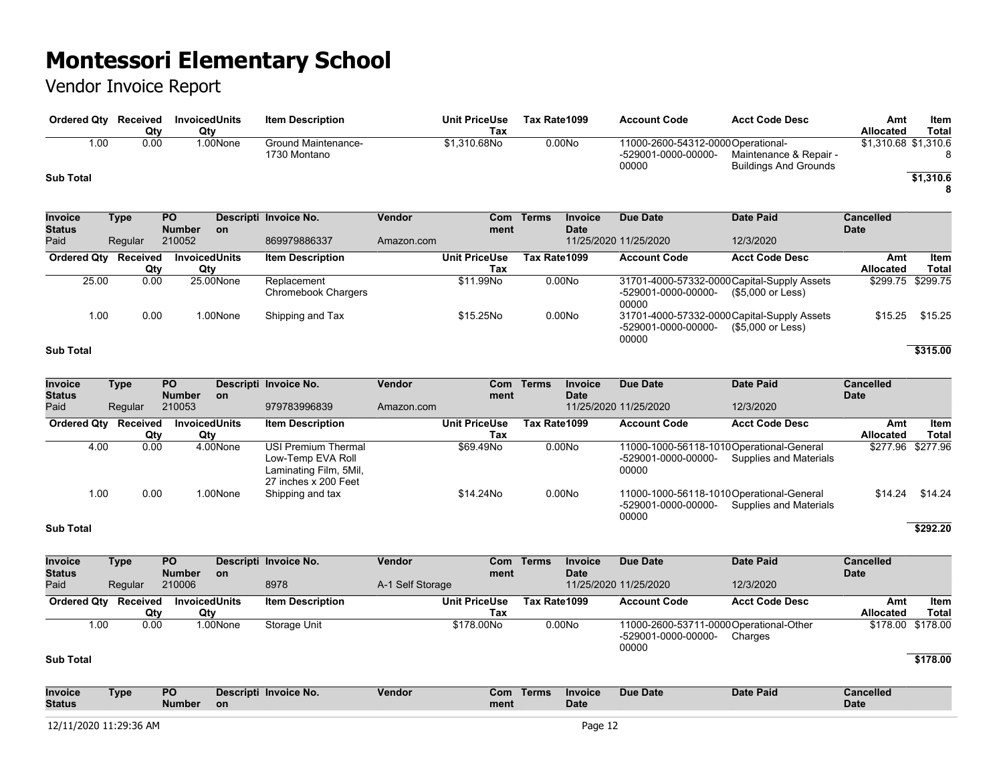## Vendor Invoice Report

| Ordered Qty      | Received<br>Qty | <b>InvoicedUnits</b><br>Qty | <b>Item Description</b>             | <b>Unit PriceUse</b><br>Tax | Tax Rate1099       | <b>Account Code</b>                                                | <b>Acct Code Desc</b>                           | Amt<br><b>Allocated</b> | Item<br>Total |
|------------------|-----------------|-----------------------------|-------------------------------------|-----------------------------|--------------------|--------------------------------------------------------------------|-------------------------------------------------|-------------------------|---------------|
| 1.00             | 0.00            | 1.00None                    | Ground Maintenance-<br>1730 Montano | \$1.310.68No                | 0.00N <sub>O</sub> | 11000-2600-54312-0000 Operational-<br>-529001-0000-00000-<br>00000 | Maintenance & Repair -<br>Buildings And Grounds | \$1,310.68 \$1,310.6    |               |
| <b>Sub Total</b> |                 |                             |                                     |                             |                    |                                                                    |                                                 |                         | \$1,310.6     |

| <b>Invoice</b><br>Status | Type     | <b>PO</b><br><b>Number</b> | <b>on</b> | Descripti Invoice No.              | Vendor     | ment                 | Com Terms    | <b>Invoice</b><br><b>Date</b> | <b>Due Date</b>              | Date Paid                                                        | <b>Cancelled</b><br><b>Date</b> |                   |
|--------------------------|----------|----------------------------|-----------|------------------------------------|------------|----------------------|--------------|-------------------------------|------------------------------|------------------------------------------------------------------|---------------------------------|-------------------|
| Paid                     | Regular  | 210052                     |           | 869979886337                       | Amazon.com |                      |              |                               | 11/25/2020 11/25/2020        | 12/3/2020                                                        |                                 |                   |
| <b>Ordered Qtv</b>       | Received | <b>InvoicedUnits</b>       |           | <b>Item Description</b>            |            | <b>Unit PriceUse</b> | Tax Rate1099 |                               | <b>Account Code</b>          | <b>Acct Code Desc</b>                                            | Amt                             | Item              |
|                          | Qty      | Qty                        |           |                                    |            | Tax                  |              |                               |                              |                                                                  | <b>Allocated</b>                | Total             |
| 25.00                    | 0.00     |                            | 25.00None | Replacement<br>Chromebook Chargers |            | \$11.99No            |              | 0.00N <sub>O</sub>            | -529001-0000-00000-<br>00000 | 31701-4000-57332-0000 Capital-Supply Assets<br>(\$5,000 or Less) |                                 | \$299.75 \$299.75 |
| 1.00                     | 0.00     |                            | 1.00None  | Shipping and Tax                   |            | \$15,25No            |              | 0.00N <sub>0</sub>            | -529001-0000-00000-<br>00000 | 31701-4000-57332-0000 Capital-Supply Assets<br>(\$5,000 or Less) | \$15.25                         | \$15.25           |

#### **Sub Total \$315.00**

| <b>Invoice</b><br><b>Status</b> | Type     | <b>PO</b><br><b>Number</b> | <b>on</b> | Descripti Invoice No.                                                                             | <b>Vendor</b> | ment                 | Com Terms    | <b>Invoice</b><br><b>Date</b> | Due Date                     | Date Paid                                                           | <b>Cancelled</b><br><b>Date</b> |                   |
|---------------------------------|----------|----------------------------|-----------|---------------------------------------------------------------------------------------------------|---------------|----------------------|--------------|-------------------------------|------------------------------|---------------------------------------------------------------------|---------------------------------|-------------------|
| Paid                            | Regular  | 210053                     |           | 979783996839                                                                                      | Amazon.com    |                      |              |                               | 11/25/2020 11/25/2020        | 12/3/2020                                                           |                                 |                   |
| <b>Ordered Qty</b>              | Received | <b>InvoicedUnits</b>       |           | <b>Item Description</b>                                                                           |               | <b>Unit PriceUse</b> | Tax Rate1099 |                               | <b>Account Code</b>          | <b>Acct Code Desc</b>                                               | Amt                             | Item              |
|                                 | Qty      | Qty                        |           |                                                                                                   |               | Tax                  |              |                               |                              |                                                                     | <b>Allocated</b>                | Total             |
| 4.00                            | 0.00     |                            | 4.00None  | <b>USI Premium Thermal</b><br>Low-Temp EVA Roll<br>Laminating Film, 5Mil,<br>27 inches x 200 Feet |               | \$69.49No            |              | 0.00No                        | -529001-0000-00000-<br>00000 | 11000-1000-56118-1010 Operational-General<br>Supplies and Materials |                                 | \$277.96 \$277.96 |
| 1.00                            | 0.00     |                            | 1.00None  | Shipping and tax                                                                                  |               | \$14.24No            |              | 0.00N <sub>O</sub>            | -529001-0000-00000-<br>00000 | 11000-1000-56118-1010 Operational-General<br>Supplies and Materials | \$14.24                         | \$14.24           |

#### **Sub Total \$292.20**

| <b>Invoice</b><br><b>Status</b> | Type     | <b>PO</b><br><b>Number</b> | on.      | Descripti Invoice No.   | Vendor           | Com<br>ment          | Terms        | <b>Invoice</b><br><b>Date</b> | Due Date                     | Date Paid                                          | <b>Cancelled</b><br><b>Date</b> |                   |
|---------------------------------|----------|----------------------------|----------|-------------------------|------------------|----------------------|--------------|-------------------------------|------------------------------|----------------------------------------------------|---------------------------------|-------------------|
| Paid                            | Regular  | 210006                     |          | 8978                    | A-1 Self Storage |                      |              |                               | 11/25/2020 11/25/2020        | 12/3/2020                                          |                                 |                   |
| <b>Ordered Qty</b>              | Received | <b>InvoicedUnits</b>       |          | <b>Item Description</b> |                  | <b>Unit PriceUse</b> | Tax Rate1099 |                               | <b>Account Code</b>          | <b>Acct Code Desc</b>                              | Amt                             | Item              |
|                                 | Qty      | Qtv                        |          |                         |                  | Tax                  |              |                               |                              |                                                    | <b>Allocated</b>                | Total             |
| 1.00                            | 0.00     |                            | 1.00None | Storage Unit            |                  | \$178,00No           |              | 0.00N <sub>O</sub>            | -529001-0000-00000-<br>00000 | 11000-2600-53711-0000 Operational-Other<br>Charges |                                 | \$178.00 \$178.00 |
| <b>Sub Total</b>                |          | $-1$                       |          |                         |                  |                      |              |                               |                              |                                                    |                                 | \$178.00          |

| <b>Invoice</b>                          | Гуре | <b>PO</b>     | eti Invoice No. | Vendor | Com  | Γerms | Invoice | Due Date | Date Paid | `ancelled \ |
|-----------------------------------------|------|---------------|-----------------|--------|------|-------|---------|----------|-----------|-------------|
| <b>Status</b>                           |      | <b>Number</b> | on              |        | ment |       | Date    |          |           | <b>Date</b> |
|                                         |      |               |                 |        |      |       |         |          |           |             |
| 12/11/2020 11:29:36 AM<br>$+ - - - - -$ |      |               |                 |        |      |       | Page 12 |          |           |             |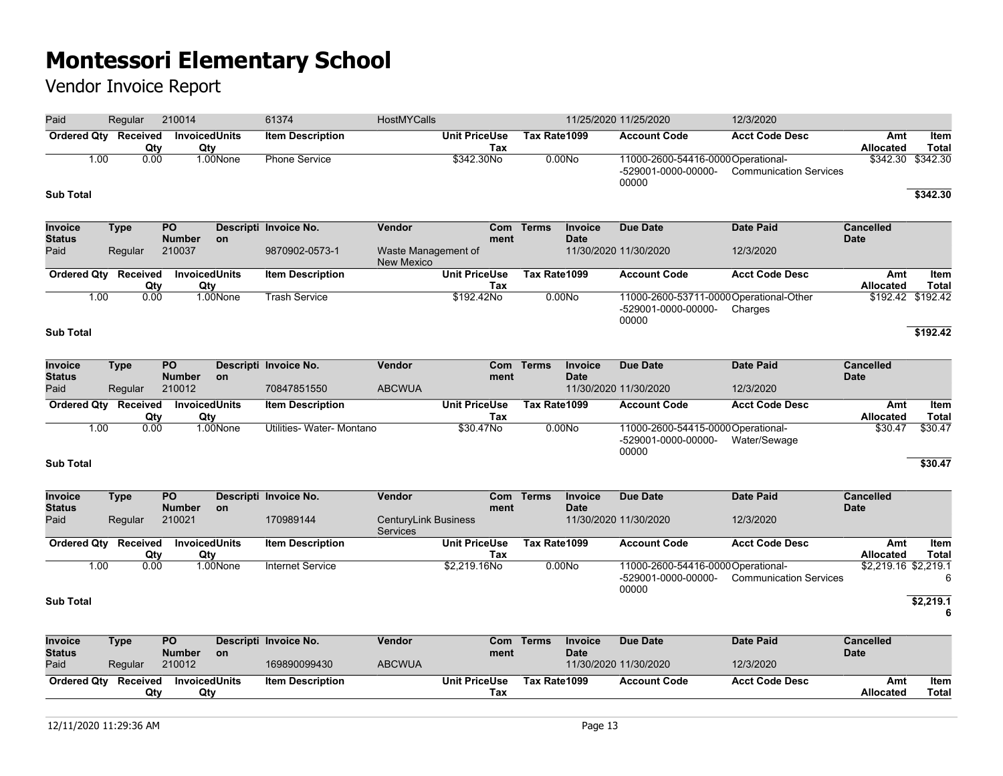| Paid                            | Regular                            | 210014                           |          | 61374                     | HostMYCalls                                    |                             |              |                               | 11/25/2020 11/25/2020                                                   | 12/3/2020                     |                                 |                      |
|---------------------------------|------------------------------------|----------------------------------|----------|---------------------------|------------------------------------------------|-----------------------------|--------------|-------------------------------|-------------------------------------------------------------------------|-------------------------------|---------------------------------|----------------------|
|                                 | Ordered Qty Received<br>Qty        | <b>InvoicedUnits</b><br>Qty      |          | <b>Item Description</b>   |                                                | <b>Unit PriceUse</b><br>Tax | Tax Rate1099 |                               | <b>Account Code</b>                                                     | <b>Acct Code Desc</b>         | Amt<br><b>Allocated</b>         | Item<br><b>Total</b> |
| 1.00                            | 0.00                               |                                  | 1.00None | <b>Phone Service</b>      |                                                | \$342.30No                  |              | 0.00N <sub>o</sub>            | 11000-2600-54416-0000Operational-<br>-529001-0000-00000-<br>00000       | <b>Communication Services</b> | \$342.30                        | \$342.30             |
| <b>Sub Total</b>                |                                    |                                  |          |                           |                                                |                             |              |                               |                                                                         |                               |                                 | \$342.30             |
| <b>Invoice</b><br><b>Status</b> | Type                               | <b>PO</b><br><b>Number</b>       | on       | Descripti Invoice No.     | <b>Vendor</b>                                  | ment                        | Com Terms    | Invoice<br><b>Date</b>        | <b>Due Date</b>                                                         | <b>Date Paid</b>              | <b>Cancelled</b><br><b>Date</b> |                      |
| Paid                            | Regular                            | 210037                           |          | 9870902-0573-1            | Waste Management of<br><b>New Mexico</b>       |                             |              |                               | 11/30/2020 11/30/2020                                                   | 12/3/2020                     |                                 |                      |
|                                 | <b>Ordered Qty Received</b><br>Qty | <b>InvoicedUnits</b><br>Qty      |          | <b>Item Description</b>   |                                                | <b>Unit PriceUse</b><br>Tax | Tax Rate1099 |                               | <b>Account Code</b>                                                     | <b>Acct Code Desc</b>         | Amt<br>Allocated                | Item<br><b>Total</b> |
| 1.00                            | 0.00                               |                                  | 1.00None | Trash Service             |                                                | \$192.42No                  |              | 0.00N <sub>o</sub>            | 11000-2600-53711-0000 Operational-Other<br>-529001-0000-00000-<br>00000 | Charges                       |                                 | \$192.42 \$192.42    |
| <b>Sub Total</b>                |                                    |                                  |          |                           |                                                |                             |              |                               |                                                                         |                               |                                 | \$192.42             |
| <b>Invoice</b>                  | <b>Type</b>                        | $\overline{PQ}$                  |          | Descripti Invoice No.     | <b>Vendor</b>                                  | Com                         | <b>Terms</b> | <b>Invoice</b><br><b>Date</b> | <b>Due Date</b>                                                         | <b>Date Paid</b>              | <b>Cancelled</b><br><b>Date</b> |                      |
| <b>Status</b><br>Paid           | Regular                            | <b>Number</b><br>210012          | on       | 70847851550               | <b>ABCWUA</b>                                  | ment                        |              |                               | 11/30/2020 11/30/2020                                                   | 12/3/2020                     |                                 |                      |
| <b>Ordered Qty</b>              | Received<br>Qty                    | InvoicedUnits<br>Qty             |          | <b>Item Description</b>   |                                                | <b>Unit PriceUse</b><br>Tax | Tax Rate1099 |                               | <b>Account Code</b>                                                     | <b>Acct Code Desc</b>         | Amt<br>Allocated                | Item<br><b>Total</b> |
| 1.00                            | 0.00                               |                                  | 1.00None | Utilities- Water- Montano |                                                | $$30.47$ No                 |              | 0.00No                        | 11000-2600-54415-0000 Operational-<br>-529001-0000-00000-<br>00000      | Water/Sewage                  | \$30.47                         | \$30.47              |
| <b>Sub Total</b>                |                                    |                                  |          |                           |                                                |                             |              |                               |                                                                         |                               |                                 | \$30.47              |
| Invoice<br><b>Status</b>        | <b>Type</b>                        | $\overline{PQ}$<br><b>Number</b> | on       | Descripti Invoice No.     | <b>Vendor</b>                                  | ment                        | Com Terms    | Invoice<br><b>Date</b>        | <b>Due Date</b>                                                         | <b>Date Paid</b>              | <b>Cancelled</b><br><b>Date</b> |                      |
| Paid                            | Regular                            | 210021                           |          | 170989144                 | <b>CenturyLink Business</b><br><b>Services</b> |                             |              |                               | 11/30/2020 11/30/2020                                                   | 12/3/2020                     |                                 |                      |
|                                 | Ordered Qty Received<br>Qty        | InvoicedUnits<br>Qty             |          | <b>Item Description</b>   |                                                | <b>Unit PriceUse</b><br>Tax | Tax Rate1099 |                               | <b>Account Code</b>                                                     | <b>Acct Code Desc</b>         | Amt<br>Allocated                | Item<br><b>Total</b> |
| 1.00                            | 0.00                               |                                  | 1.00None | <b>Internet Service</b>   |                                                | \$2,219.16No                |              | 0.00N <sub>o</sub>            | 11000-2600-54416-0000 Operational-<br>-529001-0000-00000-<br>00000      | <b>Communication Services</b> | \$2,219.16 \$2,219.1            | 6                    |
| <b>Sub Total</b>                |                                    |                                  |          |                           |                                                |                             |              |                               |                                                                         |                               |                                 | \$2,219.1<br>6       |
| Invoice<br><b>Status</b>        | <b>Type</b>                        | <b>PO</b><br><b>Number</b>       | on       | Descripti Invoice No.     | Vendor                                         | ment                        | Com Terms    | Invoice<br><b>Date</b>        | <b>Due Date</b>                                                         | <b>Date Paid</b>              | <b>Cancelled</b><br><b>Date</b> |                      |
| Paid                            | Regular                            | 210012                           |          | 169890099430              | <b>ABCWUA</b>                                  |                             |              |                               | 11/30/2020 11/30/2020                                                   | 12/3/2020                     |                                 |                      |
| <b>Ordered Qty</b>              | Received<br>Qty                    | <b>InvoicedUnits</b><br>Qty      |          | <b>Item Description</b>   |                                                | <b>Unit PriceUse</b><br>Tax | Tax Rate1099 |                               | <b>Account Code</b>                                                     | <b>Acct Code Desc</b>         | Amt<br><b>Allocated</b>         | Item<br><b>Total</b> |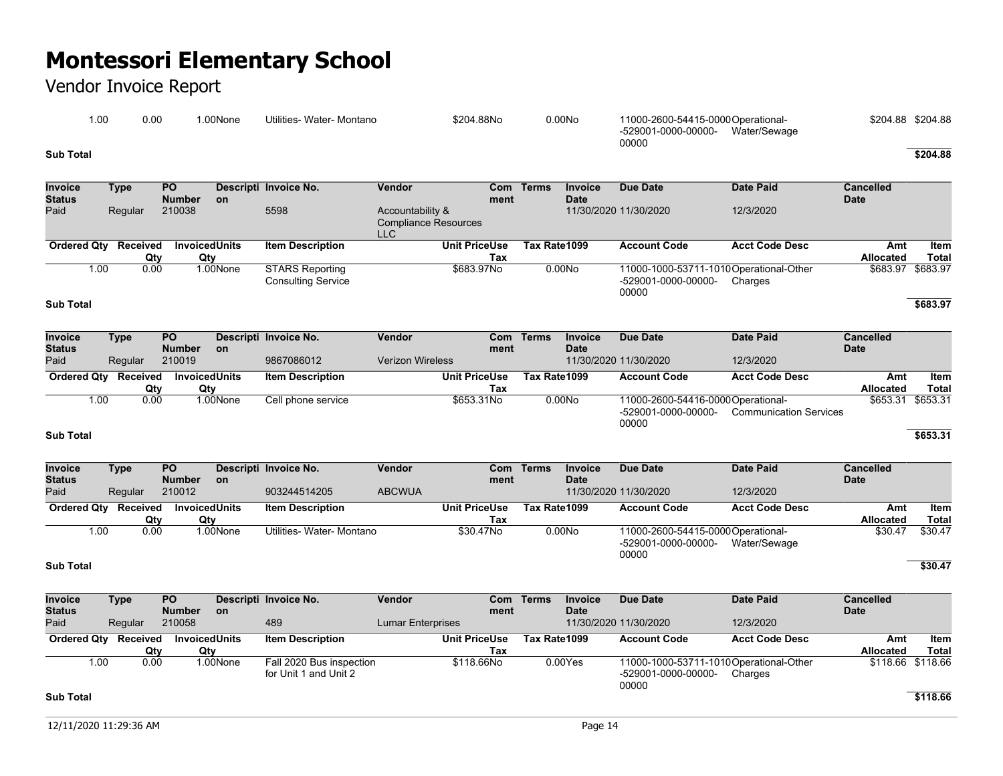| 00. ا     | 0.00 | .00None | Utilities- Water- Montano | \$204.88No | 0.00No | 11000-2600-54415-0000Operational-            | \$204.88 \$204.88 |
|-----------|------|---------|---------------------------|------------|--------|----------------------------------------------|-------------------|
|           |      |         |                           |            |        | -529001-0000-00000-<br>Water/Sewage<br>00000 |                   |
| Sub Total |      |         |                           |            |        |                                              | \$204.88          |

| Invoice<br><b>Status</b>        | <b>Type</b> | $\overline{PQ}$<br><b>Number</b>   | <b>on</b> | Descripti Invoice No.                               | Vendor                                                        | <b>Com</b><br>ment                 | <b>Terms</b>       | Invoice<br><b>Date</b>        | <b>Due Date</b>                                                        | <b>Date Paid</b>              | <b>Cancelled</b><br><b>Date</b> |                      |
|---------------------------------|-------------|------------------------------------|-----------|-----------------------------------------------------|---------------------------------------------------------------|------------------------------------|--------------------|-------------------------------|------------------------------------------------------------------------|-------------------------------|---------------------------------|----------------------|
| Paid                            | Regular     | 210038                             |           | 5598                                                | Accountability &<br><b>Compliance Resources</b><br><b>LLC</b> |                                    |                    |                               | 11/30/2020 11/30/2020                                                  | 12/3/2020                     |                                 |                      |
| <b>Ordered Qty</b>              | Received    | <b>InvoicedUnits</b><br>Qty<br>Qty |           | <b>Item Description</b>                             |                                                               | <b>Unit PriceUse</b><br>Tax        | Tax Rate1099       |                               | <b>Account Code</b>                                                    | <b>Acct Code Desc</b>         | Amt<br><b>Allocated</b>         | Item<br><b>Total</b> |
| <b>Sub Total</b>                | 1.00        | 0.00                               | 1.00None  | <b>STARS Reporting</b><br><b>Consulting Service</b> |                                                               | \$683.97No                         | 0.00N <sub>o</sub> |                               | 11000-1000-53711-1010Operational-Other<br>-529001-0000-00000-<br>00000 | Charges                       | \$683.97                        | \$683.97<br>\$683.97 |
|                                 |             |                                    |           |                                                     |                                                               |                                    |                    |                               |                                                                        |                               |                                 |                      |
| <b>Invoice</b><br><b>Status</b> | <b>Type</b> | $\overline{PQ}$<br><b>Number</b>   | <b>on</b> | Descripti Invoice No.                               | Vendor                                                        | Com<br>ment                        | <b>Terms</b>       | Invoice<br><b>Date</b>        | <b>Due Date</b>                                                        | <b>Date Paid</b>              | <b>Cancelled</b><br><b>Date</b> |                      |
| Paid                            | Regular     | 210019                             |           | 9867086012                                          | <b>Verizon Wireless</b>                                       |                                    |                    |                               | 11/30/2020 11/30/2020                                                  | 12/3/2020                     |                                 |                      |
| <b>Ordered Qty</b>              | Received    | <b>InvoicedUnits</b><br>Qty<br>Qty |           | <b>Item Description</b>                             |                                                               | <b>Unit PriceUse</b><br><b>Tax</b> | Tax Rate1099       |                               | <b>Account Code</b>                                                    | <b>Acct Code Desc</b>         | Amt<br>Allocated                | Item<br><b>Total</b> |
|                                 | 1.00        | 0.00                               | 1.00None  | Cell phone service                                  |                                                               | \$653.31No                         | 0.00N <sub>O</sub> |                               | 11000-2600-54416-0000Operational-<br>-529001-0000-00000-<br>00000      | <b>Communication Services</b> | \$653.31                        | \$653.31             |
| <b>Sub Total</b>                |             |                                    |           |                                                     |                                                               |                                    |                    |                               |                                                                        |                               |                                 | \$653.31             |
|                                 |             |                                    |           |                                                     |                                                               |                                    |                    |                               |                                                                        |                               |                                 |                      |
| Invoice<br><b>Status</b>        | <b>Type</b> | PO <sub>1</sub><br><b>Number</b>   | <b>on</b> | Descripti Invoice No.                               | Vendor                                                        | <b>Com</b><br>ment                 | <b>Terms</b>       | <b>Invoice</b><br><b>Date</b> | <b>Due Date</b>                                                        | <b>Date Paid</b>              | <b>Cancelled</b><br><b>Date</b> |                      |
| Paid                            | Regular     | 210012                             |           | 903244514205                                        | <b>ABCWUA</b>                                                 |                                    |                    |                               | 11/30/2020 11/30/2020                                                  | 12/3/2020                     |                                 |                      |
| <b>Ordered Qty</b>              | Received    | <b>InvoicedUnits</b><br>Qty<br>Qty |           | <b>Item Description</b>                             |                                                               | <b>Unit PriceUse</b><br>Tax        | Tax Rate1099       |                               | <b>Account Code</b>                                                    | <b>Acct Code Desc</b>         | Amt<br><b>Allocated</b>         | Item<br><b>Total</b> |
|                                 | 1.00        | 0.00                               | 1.00None  | Utilities- Water- Montano                           |                                                               | \$30.47No                          | 0.00N <sub>o</sub> |                               | 11000-2600-54415-0000Operational-<br>-529001-0000-00000-               | Water/Sewage                  | \$30.47                         | \$30.47              |
| <b>Sub Total</b>                |             |                                    |           |                                                     |                                                               |                                    |                    |                               | 00000                                                                  |                               |                                 | \$30.47              |
| <b>Invoice</b><br><b>Status</b> | <b>Type</b> | PO <sub>1</sub><br><b>Number</b>   | <b>on</b> | Descripti Invoice No.                               | Vendor                                                        | Com<br>ment                        | <b>Terms</b>       | <b>Invoice</b><br><b>Date</b> | <b>Due Date</b>                                                        | <b>Date Paid</b>              | <b>Cancelled</b><br><b>Date</b> |                      |
| Paid                            | Regular     | 210058                             |           | 489                                                 | <b>Lumar Enterprises</b>                                      |                                    |                    |                               | 11/30/2020 11/30/2020                                                  | 12/3/2020                     |                                 |                      |
| <b>Ordered Qtv</b>              | Received    | <b>InvoicedUnits</b><br>Qty<br>Qty |           | <b>Item Description</b>                             |                                                               | <b>Unit PriceUse</b><br>Tax        | Tax Rate1099       |                               | <b>Account Code</b>                                                    | <b>Acct Code Desc</b>         | Amt<br><b>Allocated</b>         | Item<br><b>Total</b> |
|                                 | 1.00        | 0.00                               | 1.00None  | Fall 2020 Bus inspection<br>for Unit 1 and Unit 2   |                                                               | \$118.66No                         |                    | 0.00Yes                       | 11000-1000-53711-1010Operational-Other<br>-529001-0000-00000-<br>00000 | Charges                       | \$118.66 \$118.66               |                      |